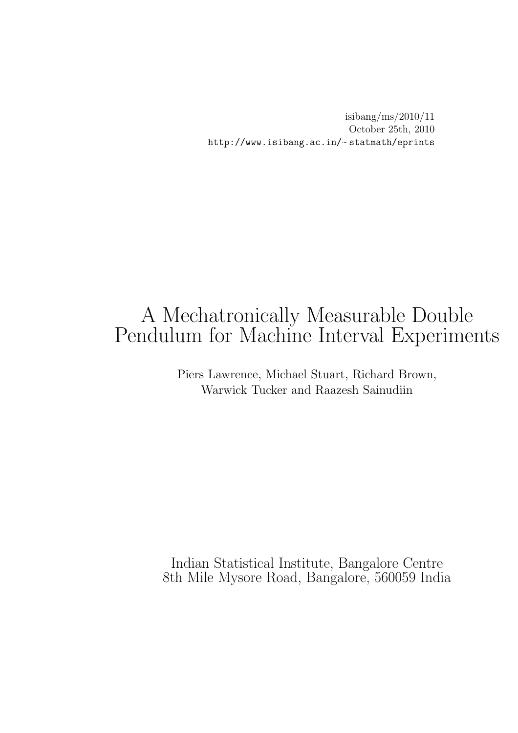isibang/ms/2010/11 October 25th, 2010 http://www.isibang.ac.in/~statmath/eprints

# A Mechatronically Measurable Double Pendulum for Machine Interval Experiments

Piers Lawrence, Michael Stuart, Richard Brown, Warwick Tucker and Raazesh Sainudiin

Indian Statistical Institute, Bangalore Centre 8th Mile Mysore Road, Bangalore, 560059 India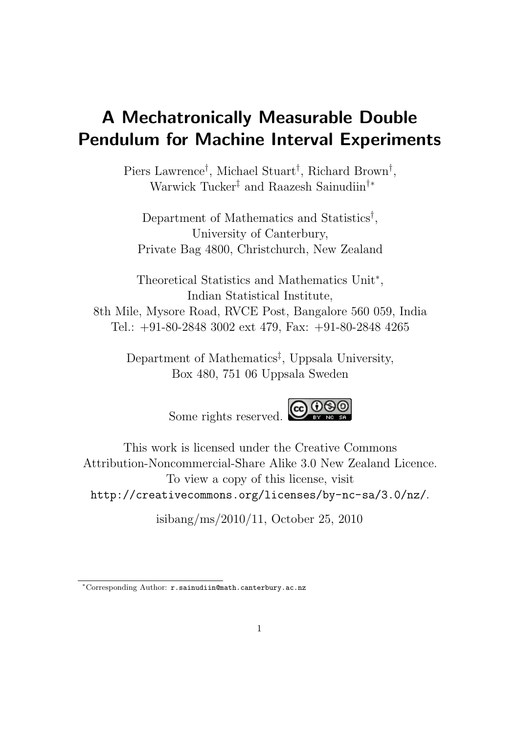# A Mechatronically Measurable Double Pendulum for Machine Interval Experiments

Piers Lawrence<sup>†</sup>, Michael Stuart<sup>†</sup>, Richard Brown<sup>†</sup>, Warwick Tucker‡ and Raazesh Sainudiin†∗

Department of Mathematics and Statistics† , University of Canterbury, Private Bag 4800, Christchurch, New Zealand

Theoretical Statistics and Mathematics Unit∗, Indian Statistical Institute, 8th Mile, Mysore Road, RVCE Post, Bangalore 560 059, India Tel.: +91-80-2848 3002 ext 479, Fax: +91-80-2848 4265

Department of Mathematics‡ , Uppsala University, Box 480, 751 06 Uppsala Sweden

Some rights reserved. COOSO



This work is licensed under the Creative Commons Attribution-Noncommercial-Share Alike 3.0 New Zealand Licence. To view a copy of this license, visit http://creativecommons.org/licenses/by-nc-sa/3.0/nz/.

isibang/ms/2010/11, October 25, 2010

<sup>∗</sup>Corresponding Author: r.sainudiin@math.canterbury.ac.nz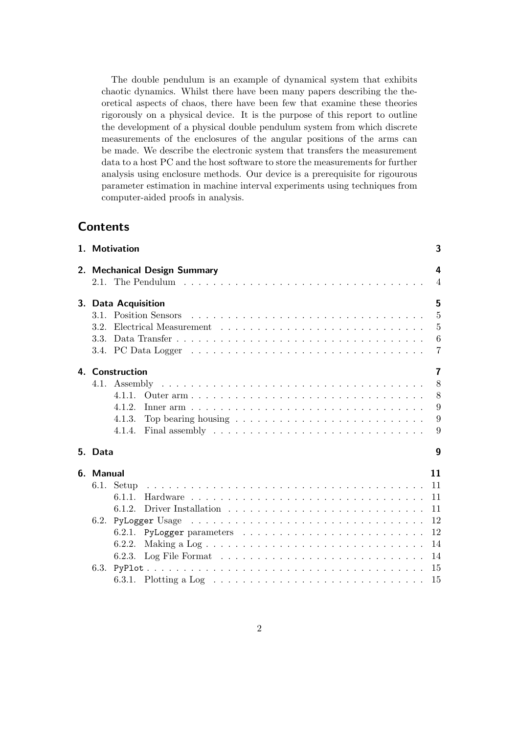The double pendulum is an example of dynamical system that exhibits chaotic dynamics. Whilst there have been many papers describing the theoretical aspects of chaos, there have been few that examine these theories rigorously on a physical device. It is the purpose of this report to outline the development of a physical double pendulum system from which discrete measurements of the enclosures of the angular positions of the arms can be made. We describe the electronic system that transfers the measurement data to a host PC and the host software to store the measurements for further analysis using enclosure methods. Our device is a prerequisite for rigourous parameter estimation in machine interval experiments using techniques from computer-aided proofs in analysis.

# **Contents**

|           | 1. Motivation       |                                                                                               | 3              |
|-----------|---------------------|-----------------------------------------------------------------------------------------------|----------------|
|           |                     | 2. Mechanical Design Summary                                                                  | 4              |
|           |                     |                                                                                               | $\overline{4}$ |
|           | 3. Data Acquisition |                                                                                               | 5              |
|           |                     |                                                                                               | $\overline{5}$ |
| 3.2.      |                     |                                                                                               | 5              |
| 3.3.      |                     |                                                                                               | 6              |
|           |                     |                                                                                               | $\overline{7}$ |
|           | 4. Construction     |                                                                                               | $\overline{7}$ |
|           |                     |                                                                                               | 8              |
|           | 4.1.1.              | Outer arm                                                                                     | 8              |
|           | 4 1 2               |                                                                                               | 9              |
|           | 4.1.3.              | Top bearing housing $\ldots \ldots \ldots \ldots \ldots \ldots \ldots \ldots$                 | 9              |
|           | 4.1.4.              | Final assembly $\ldots \ldots \ldots \ldots \ldots \ldots \ldots \ldots \ldots$               | 9              |
| 5. Data   |                     |                                                                                               | 9              |
| 6. Manual |                     |                                                                                               | 11             |
| 6.1.      |                     |                                                                                               | 11             |
|           | 6.1.1               |                                                                                               | 11             |
|           |                     |                                                                                               | 11             |
|           |                     |                                                                                               | 12             |
|           |                     |                                                                                               | 12             |
|           | 6.2.2.              |                                                                                               | 14             |
|           |                     |                                                                                               | 14             |
|           |                     |                                                                                               | 15             |
|           |                     | 6.3.1. Plotting a Log $\ldots \ldots \ldots \ldots \ldots \ldots \ldots \ldots \ldots \ldots$ | 15             |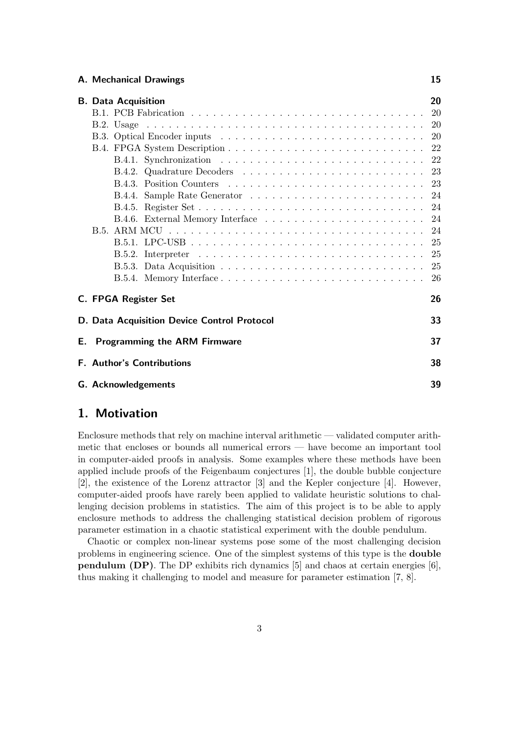#### A. Mechanical Drawings 15

|  | <b>B.</b> Data Acquisition |                                             | 20 |  |
|--|----------------------------|---------------------------------------------|----|--|
|  |                            |                                             |    |  |
|  |                            |                                             |    |  |
|  |                            |                                             |    |  |
|  |                            |                                             |    |  |
|  |                            |                                             |    |  |
|  |                            |                                             |    |  |
|  |                            |                                             |    |  |
|  |                            |                                             |    |  |
|  |                            |                                             |    |  |
|  |                            |                                             |    |  |
|  |                            |                                             |    |  |
|  |                            |                                             |    |  |
|  |                            |                                             |    |  |
|  |                            |                                             |    |  |
|  |                            |                                             |    |  |
|  |                            | C. FPGA Register Set                        | 26 |  |
|  |                            | D. Data Acquisition Device Control Protocol | 33 |  |
|  |                            | <b>E.</b> Programming the ARM Firmware      | 37 |  |
|  |                            | <b>F. Author's Contributions</b>            | 38 |  |
|  |                            | <b>G.</b> Acknowledgements                  | 39 |  |

# 1. Motivation

Enclosure methods that rely on machine interval arithmetic — validated computer arithmetic that encloses or bounds all numerical errors — have become an important tool in computer-aided proofs in analysis. Some examples where these methods have been applied include proofs of the Feigenbaum conjectures [1], the double bubble conjecture [2], the existence of the Lorenz attractor [3] and the Kepler conjecture [4]. However, computer-aided proofs have rarely been applied to validate heuristic solutions to challenging decision problems in statistics. The aim of this project is to be able to apply enclosure methods to address the challenging statistical decision problem of rigorous parameter estimation in a chaotic statistical experiment with the double pendulum.

Chaotic or complex non-linear systems pose some of the most challenging decision problems in engineering science. One of the simplest systems of this type is the double pendulum (DP). The DP exhibits rich dynamics [5] and chaos at certain energies [6], thus making it challenging to model and measure for parameter estimation [7, 8].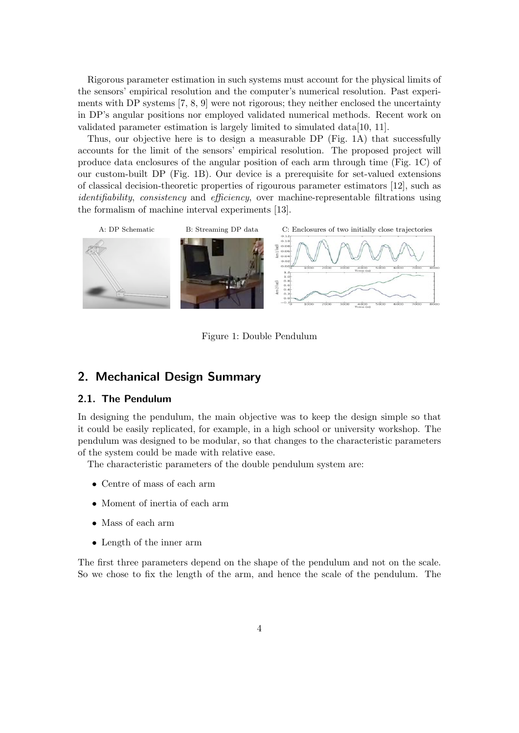Rigorous parameter estimation in such systems must account for the physical limits of the sensors' empirical resolution and the computer's numerical resolution. Past experiments with DP systems [7, 8, 9] were not rigorous; they neither enclosed the uncertainty in DP's angular positions nor employed validated numerical methods. Recent work on validated parameter estimation is largely limited to simulated data[10, 11].

Thus, our objective here is to design a measurable DP (Fig. 1A) that successfully accounts for the limit of the sensors' empirical resolution. The proposed project will produce data enclosures of the angular position of each arm through time (Fig. 1C) of our custom-built DP (Fig. 1B). Our device is a prerequisite for set-valued extensions of classical decision-theoretic properties of rigourous parameter estimators [12], such as identifiability, consistency and efficiency, over machine-representable filtrations using the formalism of machine interval experiments [13].



Figure 1: Double Pendulum

# 2. Mechanical Design Summary

#### 2.1. The Pendulum

In designing the pendulum, the main objective was to keep the design simple so that it could be easily replicated, for example, in a high school or university workshop. The pendulum was designed to be modular, so that changes to the characteristic parameters of the system could be made with relative ease.

The characteristic parameters of the double pendulum system are:

- Centre of mass of each arm
- Moment of inertia of each arm
- Mass of each arm
- Length of the inner arm

The first three parameters depend on the shape of the pendulum and not on the scale. So we chose to fix the length of the arm, and hence the scale of the pendulum. The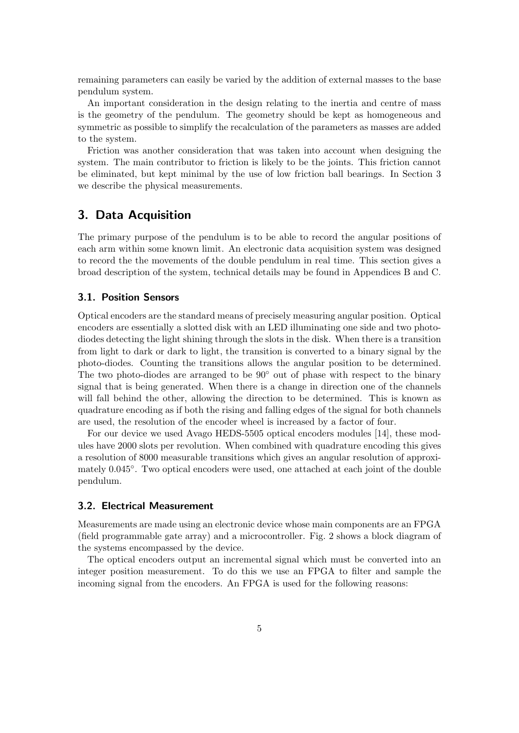remaining parameters can easily be varied by the addition of external masses to the base pendulum system.

An important consideration in the design relating to the inertia and centre of mass is the geometry of the pendulum. The geometry should be kept as homogeneous and symmetric as possible to simplify the recalculation of the parameters as masses are added to the system.

Friction was another consideration that was taken into account when designing the system. The main contributor to friction is likely to be the joints. This friction cannot be eliminated, but kept minimal by the use of low friction ball bearings. In Section 3 we describe the physical measurements.

# 3. Data Acquisition

The primary purpose of the pendulum is to be able to record the angular positions of each arm within some known limit. An electronic data acquisition system was designed to record the the movements of the double pendulum in real time. This section gives a broad description of the system, technical details may be found in Appendices B and C.

#### 3.1. Position Sensors

Optical encoders are the standard means of precisely measuring angular position. Optical encoders are essentially a slotted disk with an LED illuminating one side and two photodiodes detecting the light shining through the slots in the disk. When there is a transition from light to dark or dark to light, the transition is converted to a binary signal by the photo-diodes. Counting the transitions allows the angular position to be determined. The two photo-diodes are arranged to be  $90°$  out of phase with respect to the binary signal that is being generated. When there is a change in direction one of the channels will fall behind the other, allowing the direction to be determined. This is known as quadrature encoding as if both the rising and falling edges of the signal for both channels are used, the resolution of the encoder wheel is increased by a factor of four.

For our device we used Avago HEDS-5505 optical encoders modules [14], these modules have 2000 slots per revolution. When combined with quadrature encoding this gives a resolution of 8000 measurable transitions which gives an angular resolution of approximately 0.045°. Two optical encoders were used, one attached at each joint of the double pendulum.

#### 3.2. Electrical Measurement

Measurements are made using an electronic device whose main components are an FPGA (field programmable gate array) and a microcontroller. Fig. 2 shows a block diagram of the systems encompassed by the device.

The optical encoders output an incremental signal which must be converted into an integer position measurement. To do this we use an FPGA to filter and sample the incoming signal from the encoders. An FPGA is used for the following reasons: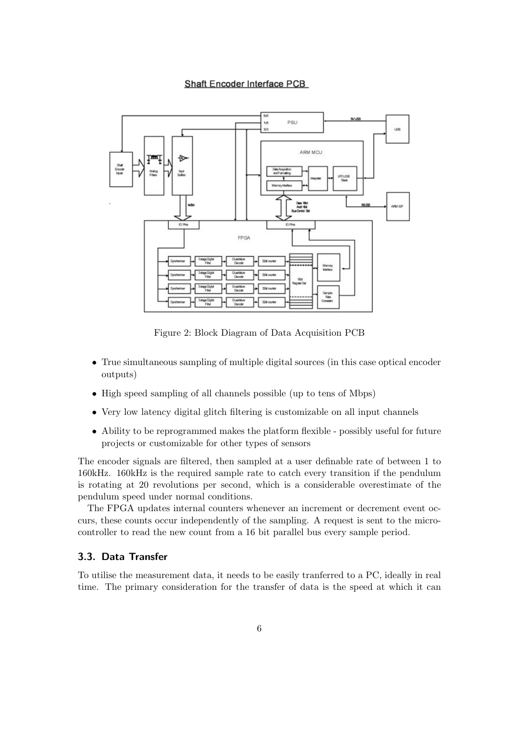#### Shaft Encoder Interface PCB



Figure 2: Block Diagram of Data Acquisition PCB

- True simultaneous sampling of multiple digital sources (in this case optical encoder outputs)
- High speed sampling of all channels possible (up to tens of Mbps)
- Very low latency digital glitch filtering is customizable on all input channels
- Ability to be reprogrammed makes the platform flexible possibly useful for future projects or customizable for other types of sensors

The encoder signals are filtered, then sampled at a user definable rate of between 1 to 160kHz. 160kHz is the required sample rate to catch every transition if the pendulum is rotating at 20 revolutions per second, which is a considerable overestimate of the pendulum speed under normal conditions.

The FPGA updates internal counters whenever an increment or decrement event occurs, these counts occur independently of the sampling. A request is sent to the microcontroller to read the new count from a 16 bit parallel bus every sample period.

# 3.3. Data Transfer

To utilise the measurement data, it needs to be easily tranferred to a PC, ideally in real time. The primary consideration for the transfer of data is the speed at which it can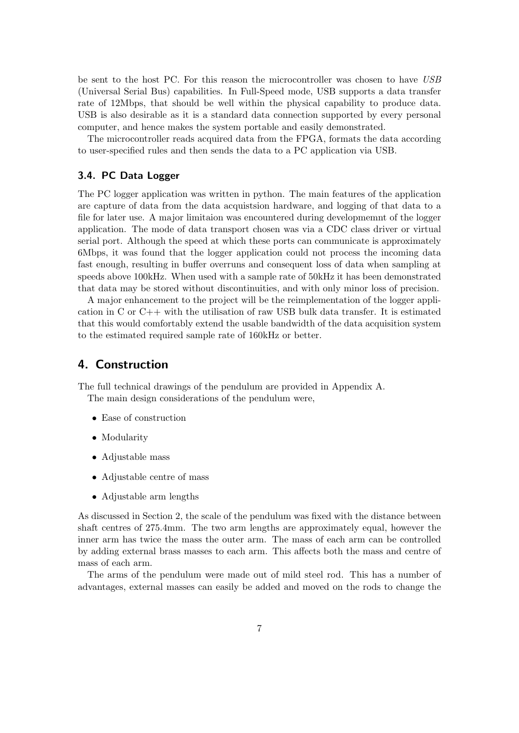be sent to the host PC. For this reason the microcontroller was chosen to have USB (Universal Serial Bus) capabilities. In Full-Speed mode, USB supports a data transfer rate of 12Mbps, that should be well within the physical capability to produce data. USB is also desirable as it is a standard data connection supported by every personal computer, and hence makes the system portable and easily demonstrated.

The microcontroller reads acquired data from the FPGA, formats the data according to user-specified rules and then sends the data to a PC application via USB.

## 3.4. PC Data Logger

The PC logger application was written in python. The main features of the application are capture of data from the data acquistsion hardware, and logging of that data to a file for later use. A major limitaion was encountered during developmemnt of the logger application. The mode of data transport chosen was via a CDC class driver or virtual serial port. Although the speed at which these ports can communicate is approximately 6Mbps, it was found that the logger application could not process the incoming data fast enough, resulting in buffer overruns and consequent loss of data when sampling at speeds above 100kHz. When used with a sample rate of 50kHz it has been demonstrated that data may be stored without discontinuities, and with only minor loss of precision.

A major enhancement to the project will be the reimplementation of the logger application in C or  $C_{++}$  with the utilisation of raw USB bulk data transfer. It is estimated that this would comfortably extend the usable bandwidth of the data acquisition system to the estimated required sample rate of 160kHz or better.

# 4. Construction

The full technical drawings of the pendulum are provided in Appendix A. The main design considerations of the pendulum were,

- Ease of construction
- Modularity
- Adjustable mass
- Adjustable centre of mass
- Adjustable arm lengths

As discussed in Section 2, the scale of the pendulum was fixed with the distance between shaft centres of 275*.*4mm. The two arm lengths are approximately equal, however the inner arm has twice the mass the outer arm. The mass of each arm can be controlled by adding external brass masses to each arm. This affects both the mass and centre of mass of each arm.

The arms of the pendulum were made out of mild steel rod. This has a number of advantages, external masses can easily be added and moved on the rods to change the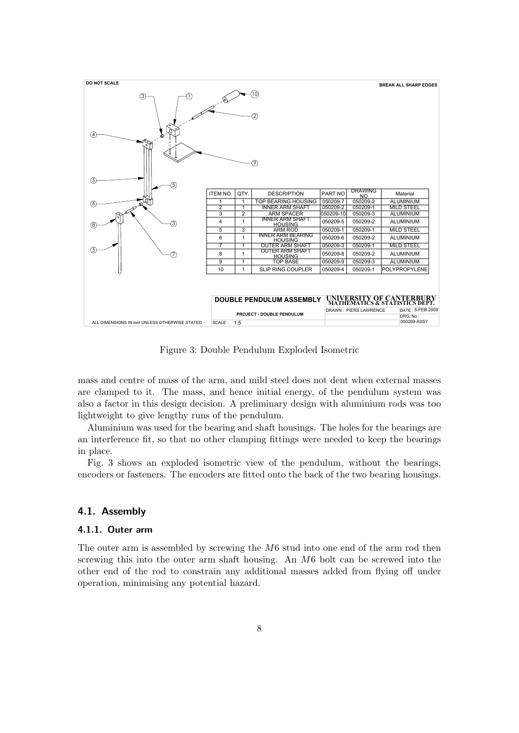

Figure 3: Double Pendulum Exploded Isometric

mass and centre of mass of the arm, and mild steel does not dent when external masses are clamped to it. The mass, and hence initial energy, of the pendulum system was also a factor in this design decision. A preliminary design with aluminium rods was too lightweight to give lengthy runs of the pendulum.

Aluminium was used for the bearing and shaft housings. The holes for the bearings are an interference fit, so that no other clamping fittings were needed to keep the bearings in place.

Fig. 3 shows an exploded isometric view of the pendulum, without the bearings, encoders or fasteners. The encoders are fitted onto the back of the two bearing housings.

#### 4.1. Assembly

#### 4.1.1. Outer arm

The outer arm is assembled by screwing the *M*6 stud into one end of the arm rod then screwing this into the outer arm shaft housing. An *M*6 bolt can be screwed into the other end of the rod to constrain any additional masses added from flying off under operation, minimising any potential hazard.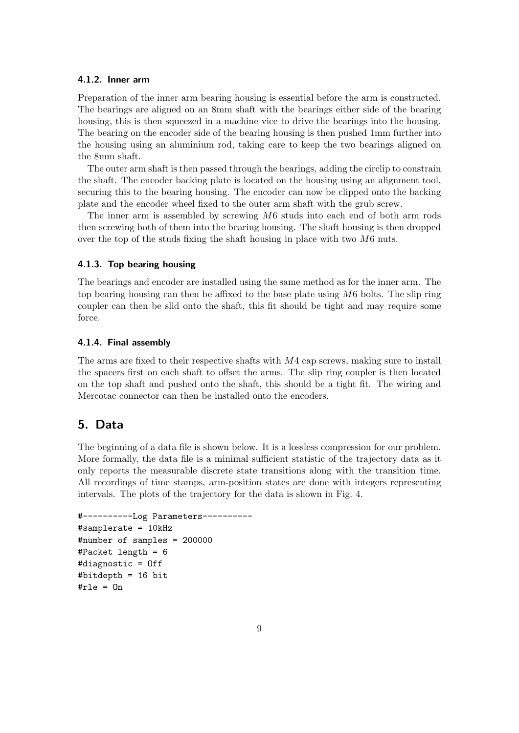#### 4.1.2. Inner arm

Preparation of the inner arm bearing housing is essential before the arm is constructed. The bearings are aligned on an 8mm shaft with the bearings either side of the bearing housing, this is then squeezed in a machine vice to drive the bearings into the housing. The bearing on the encoder side of the bearing housing is then pushed 1mm further into the housing using an aluminium rod, taking care to keep the two bearings aligned on the 8mm shaft.

The outer arm shaft is then passed through the bearings, adding the circlip to constrain the shaft. The encoder backing plate is located on the housing using an alignment tool, securing this to the bearing housing. The encoder can now be clipped onto the backing plate and the encoder wheel fixed to the outer arm shaft with the grub screw.

The inner arm is assembled by screwing *M*6 studs into each end of both arm rods then screwing both of them into the bearing housing. The shaft housing is then dropped over the top of the studs fixing the shaft housing in place with two *M*6 nuts.

#### 4.1.3. Top bearing housing

The bearings and encoder are installed using the same method as for the inner arm. The top bearing housing can then be affixed to the base plate using *M*6 bolts. The slip ring coupler can then be slid onto the shaft, this fit should be tight and may require some force.

#### 4.1.4. Final assembly

The arms are fixed to their respective shafts with *M*4 cap screws, making sure to install the spacers first on each shaft to offset the arms. The slip ring coupler is then located on the top shaft and pushed onto the shaft, this should be a tight fit. The wiring and Mercotac connector can then be installed onto the encoders.

# 5. Data

The beginning of a data file is shown below. It is a lossless compression for our problem. More formally, the data file is a minimal sufficient statistic of the trajectory data as it only reports the measurable discrete state transitions along with the transition time. All recordings of time stamps, arm-position states are done with integers representing intervals. The plots of the trajectory for the data is shown in Fig. 4.

```
#----------Log Parameters----------
#samplerate = 10kHz
#number of samples = 200000
#Packet length = 6
#diagnostic = Off
#bitdepth = 16 bit
#rle = On
```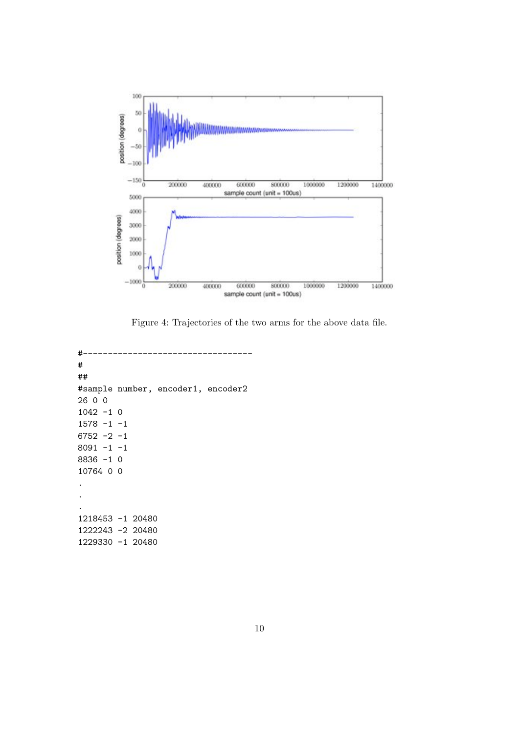

Figure 4: Trajectories of the two arms for the above data file.

```
#----------------------------------
#
##
#sample number, encoder1, encoder2
26 0 0
1042 -1 0
1578 - 1 -16752 -2 -1
8091 -1 -1
8836 -1 0
10764 0 0
.
.
.
1218453 -1 20480
1222243 -2 20480
1229330 -1 20480
```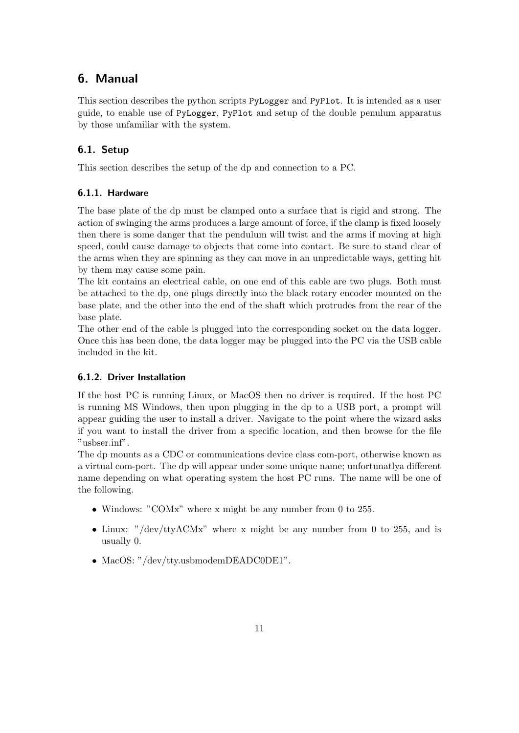# 6. Manual

This section describes the python scripts PyLogger and PyPlot. It is intended as a user guide, to enable use of PyLogger, PyPlot and setup of the double penulum apparatus by those unfamiliar with the system.

# 6.1. Setup

This section describes the setup of the dp and connection to a PC.

# 6.1.1. Hardware

The base plate of the dp must be clamped onto a surface that is rigid and strong. The action of swinging the arms produces a large amount of force, if the clamp is fixed loosely then there is some danger that the pendulum will twist and the arms if moving at high speed, could cause damage to objects that come into contact. Be sure to stand clear of the arms when they are spinning as they can move in an unpredictable ways, getting hit by them may cause some pain.

The kit contains an electrical cable, on one end of this cable are two plugs. Both must be attached to the dp, one plugs directly into the black rotary encoder mounted on the base plate, and the other into the end of the shaft which protrudes from the rear of the base plate.

The other end of the cable is plugged into the corresponding socket on the data logger. Once this has been done, the data logger may be plugged into the PC via the USB cable included in the kit.

#### 6.1.2. Driver Installation

If the host PC is running Linux, or MacOS then no driver is required. If the host PC is running MS Windows, then upon plugging in the dp to a USB port, a prompt will appear guiding the user to install a driver. Navigate to the point where the wizard asks if you want to install the driver from a specific location, and then browse for the file "usbser.inf".

The dp mounts as a CDC or communications device class com-port, otherwise known as a virtual com-port. The dp will appear under some unique name; unfortunatlya different name depending on what operating system the host PC runs. The name will be one of the following.

- Windows: "COMx" where x might be any number from 0 to 255.
- Linux: "/dev/ttyACMx" where x might be any number from 0 to 255, and is usually 0.
- MacOS: "/dev/tty.usbmodemDEADC0DE1".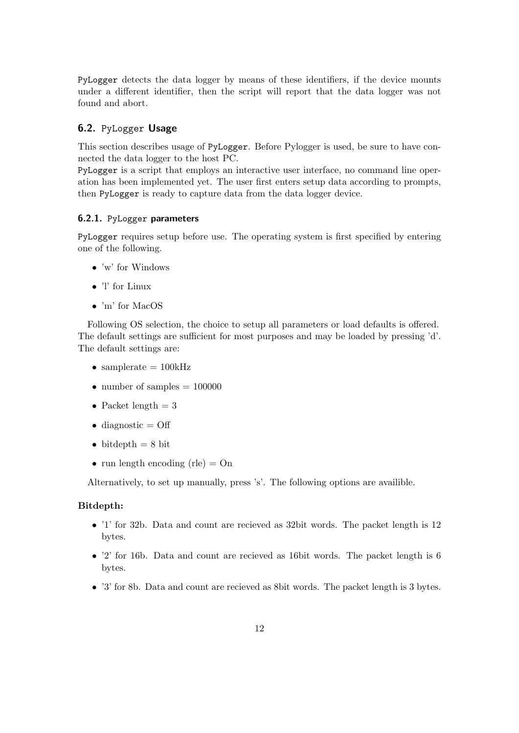PyLogger detects the data logger by means of these identifiers, if the device mounts under a different identifier, then the script will report that the data logger was not found and abort.

### 6.2. PyLogger Usage

This section describes usage of PyLogger. Before Pylogger is used, be sure to have connected the data logger to the host PC.

PyLogger is a script that employs an interactive user interface, no command line operation has been implemented yet. The user first enters setup data according to prompts, then PyLogger is ready to capture data from the data logger device.

#### 6.2.1. PyLogger parameters

PyLogger requires setup before use. The operating system is first specified by entering one of the following.

- 'w' for Windows
- 'l' for Linux
- 'm' for MacOS

Following OS selection, the choice to setup all parameters or load defaults is offered. The default settings are sufficient for most purposes and may be loaded by pressing 'd'. The default settings are:

- samplerate  $= 100kHz$
- number of samples  $= 100000$
- Packet length  $= 3$
- diagnostic  $=$  Off
- bitdepth  $= 8$  bit
- run length encoding  $(\text{rle}) = \text{On}$

Alternatively, to set up manually, press 's'. The following options are availible.

#### Bitdepth:

- '1' for 32b. Data and count are recieved as 32bit words. The packet length is 12 bytes.
- '2' for 16b. Data and count are recieved as 16bit words. The packet length is 6 bytes.
- '3' for 8b. Data and count are recieved as 8bit words. The packet length is 3 bytes.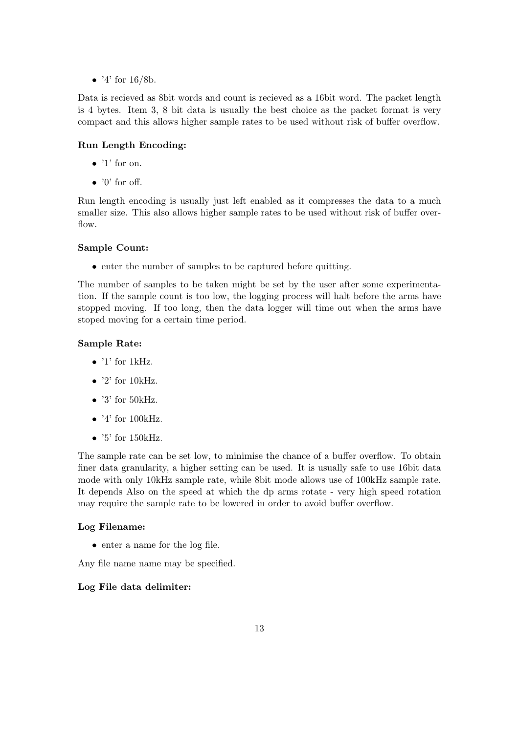• '4' for  $16/8b$ .

Data is recieved as 8bit words and count is recieved as a 16bit word. The packet length is 4 bytes. Item 3, 8 bit data is usually the best choice as the packet format is very compact and this allows higher sample rates to be used without risk of buffer overflow.

# Run Length Encoding:

- $\bullet$  '1' for on.
- $\bullet$  '0' for off.

Run length encoding is usually just left enabled as it compresses the data to a much smaller size. This also allows higher sample rates to be used without risk of buffer overflow.

#### Sample Count:

• enter the number of samples to be captured before quitting.

The number of samples to be taken might be set by the user after some experimentation. If the sample count is too low, the logging process will halt before the arms have stopped moving. If too long, then the data logger will time out when the arms have stoped moving for a certain time period.

#### Sample Rate:

- $\bullet$  '1' for 1kHz.
- $\bullet$  '2' for 10kHz.
- $\bullet$  '3' for 50kHz.
- $\bullet$  '4' for 100kHz.
- $\bullet$  '5' for 150kHz.

The sample rate can be set low, to minimise the chance of a buffer overflow. To obtain finer data granularity, a higher setting can be used. It is usually safe to use 16bit data mode with only 10kHz sample rate, while 8bit mode allows use of 100kHz sample rate. It depends Also on the speed at which the dp arms rotate - very high speed rotation may require the sample rate to be lowered in order to avoid buffer overflow.

#### Log Filename:

• enter a name for the log file.

Any file name name may be specified.

#### Log File data delimiter: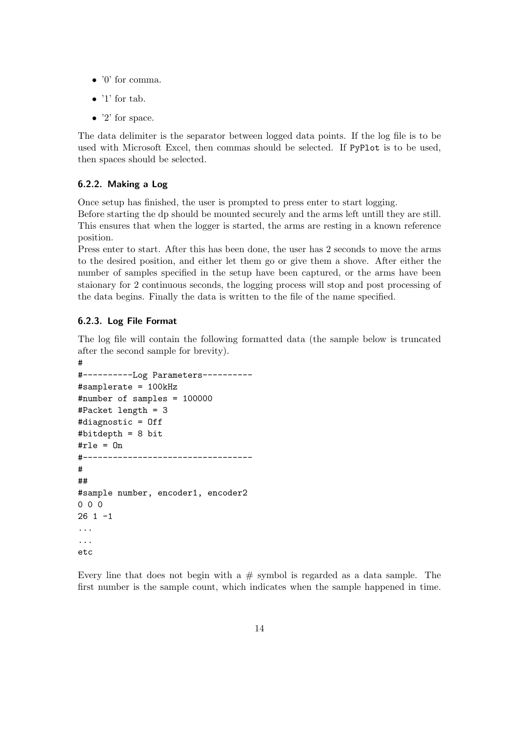- $\bullet$  '0' for comma.
- $\bullet$  '1' for tab.
- $\bullet$  '2' for space.

The data delimiter is the separator between logged data points. If the log file is to be used with Microsoft Excel, then commas should be selected. If PyPlot is to be used, then spaces should be selected.

#### 6.2.2. Making a Log

Once setup has finished, the user is prompted to press enter to start logging.

Before starting the dp should be mounted securely and the arms left untill they are still. This ensures that when the logger is started, the arms are resting in a known reference position.

Press enter to start. After this has been done, the user has 2 seconds to move the arms to the desired position, and either let them go or give them a shove. After either the number of samples specified in the setup have been captured, or the arms have been staionary for 2 continuous seconds, the logging process will stop and post processing of the data begins. Finally the data is written to the file of the name specified.

#### 6.2.3. Log File Format

The log file will contain the following formatted data (the sample below is truncated after the second sample for brevity).

```
#
#----------Log Parameters----------
#samplerate = 100kHz
#number of samples = 100000
#Packet length = 3
#diagnostic = Off
#bitdepth = 8 bit
#rle = 0n#----------------------------------
#
##
#sample number, encoder1, encoder2
000
26 1 -1
...
...
etc
```
Every line that does not begin with a  $#$  symbol is regarded as a data sample. The first number is the sample count, which indicates when the sample happened in time.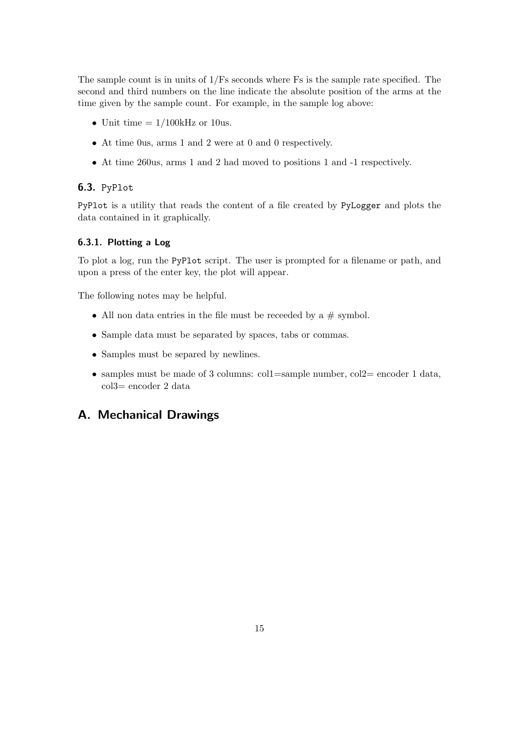The sample count is in units of 1/Fs seconds where Fs is the sample rate specified. The second and third numbers on the line indicate the absolute position of the arms at the time given by the sample count. For example, in the sample log above:

- Unit time  $= 1/100$ kHz or 10us.
- At time 0us, arms 1 and 2 were at 0 and 0 respectively.
- At time 260us, arms 1 and 2 had moved to positions 1 and -1 respectively.

#### 6.3. PyPlot

PyPlot is a utility that reads the content of a file created by PyLogger and plots the data contained in it graphically.

### 6.3.1. Plotting a Log

To plot a log, run the PyPlot script. The user is prompted for a filename or path, and upon a press of the enter key, the plot will appear.

The following notes may be helpful.

- All non data entries in the file must be receeded by a  $#$  symbol.
- Sample data must be separated by spaces, tabs or commas.
- Samples must be separed by newlines.
- samples must be made of 3 columns: col1=sample number, col2= encoder 1 data, col3= encoder 2 data

# A. Mechanical Drawings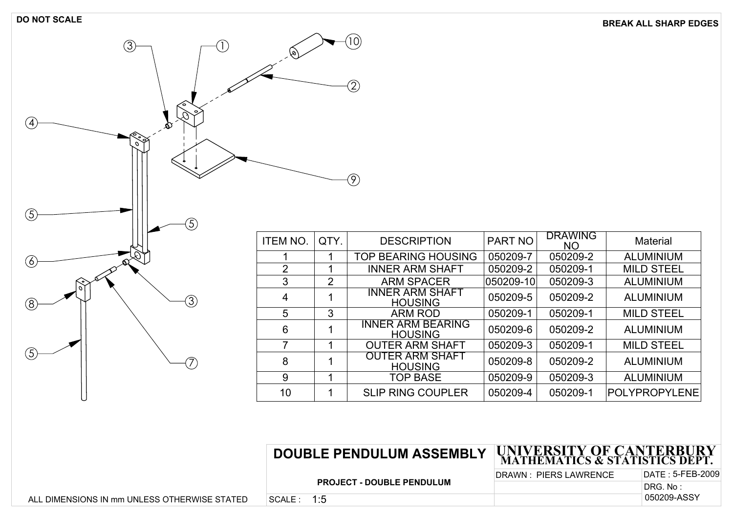**DO NOT SCALE BREAK ALL SHARP EDGES**

| $\circledS$<br>Î                                  | ø                       |                                  | (10)                                                                                                    |
|---------------------------------------------------|-------------------------|----------------------------------|---------------------------------------------------------------------------------------------------------|
| €<br>$\circ$<br>$\mathcal{G}$<br>$\bigoplus$<br>Ò |                         |                                  | $\mathfrak{D}% _{T}=\mathfrak{D}_{T}\!\left( a,b\right) ,\ \mathfrak{D}_{T}=C_{T}\!\left( a,b\right) ,$ |
| ্<br>$\mathcal{O}$<br>$\circledS$                 |                         |                                  | $\bigcirc$                                                                                              |
| $\overline{5}$                                    | ITEM NO.                | QTY.                             |                                                                                                         |
|                                                   |                         |                                  |                                                                                                         |
| $\bigcirc$<br>x                                   | $\mathbf 1$             | $\overline{1}$<br>$\overline{1}$ | $\overline{T}$                                                                                          |
| ಿ                                                 | $\frac{2}{3}$           | $\overline{2}$                   |                                                                                                         |
| $\circ$                                           |                         |                                  |                                                                                                         |
| 3<br>@                                            | $\overline{\mathbf{4}}$ | $\mathbf 1$                      |                                                                                                         |
|                                                   | $\overline{5}$          | $\overline{3}$                   |                                                                                                         |
|                                                   | $\,6\,$                 | $\mathbf 1$                      |                                                                                                         |
|                                                   | $\overline{7}$          | $\mathbf 1$                      |                                                                                                         |
| $\circledS$                                       | $\bf 8$                 | 1                                |                                                                                                         |
|                                                   | $\overline{9}$          | $\overline{1}$                   |                                                                                                         |
|                                                   | 10                      | $\mathbf{1}$                     |                                                                                                         |
|                                                   |                         |                                  |                                                                                                         |

| ITEM NO. | QTY.           | <b>DESCRIPTION</b>                         | PART NO   | <b>DRAWING</b><br><b>NO</b> | <b>Material</b>   |
|----------|----------------|--------------------------------------------|-----------|-----------------------------|-------------------|
|          |                | TOP BEARING HOUSING                        | 050209-7  | 050209-2                    | <b>ALUMINIUM</b>  |
| 2        |                | <b>INNER ARM SHAFT</b>                     | 050209-2  | 050209-1                    | <b>MILD STEEL</b> |
| 3        | $\overline{2}$ | <b>ARM SPACER</b>                          | 050209-10 | 050209-3                    | <b>ALUMINIUM</b>  |
| 4        |                | <b>INNER ARM SHAFT</b><br><b>HOUSING</b>   | 050209-5  | 050209-2                    | <b>ALUMINIUM</b>  |
| 5        | 3              | <b>ARM ROD</b>                             | 050209-1  | 050209-1                    | <b>MILD STEEL</b> |
| 6        |                | <b>INNER ARM BEARING</b><br><b>HOUSING</b> | 050209-6  | 050209-2                    | <b>ALUMINIUM</b>  |
|          |                | <b>OUTER ARM SHAFT</b>                     | 050209-3  | 050209-1                    | <b>MILD STEEL</b> |
| 8        |                | <b>OUTER ARM SHAFT</b><br><b>HOUSING</b>   | 050209-8  | 050209-2                    | <b>ALUMINIUM</b>  |
| 9        |                | <b>TOP BASE</b>                            | 050209-9  | 050209-3                    | <b>ALUMINIUM</b>  |
| 10       |                | <b>SLIP RING COUPLER</b>                   | 050209-4  | 050209-1                    | POLYPROPYLENE     |

# **DOUBLE PENDULUM ASSEMBLY UNIVERSITY OF CANTERBURY MATHEMATICS & STATISTICS DEPT.**

**PROJECT - DOUBLE PENDULUM**

DRAWN : PIERS LAWRENCE | DATE : DATE: 5-FEB-2009

050209-ASSY DRG. No: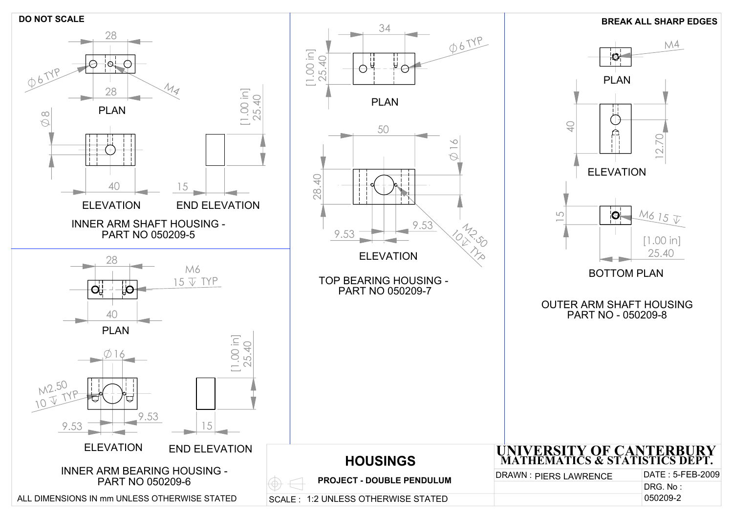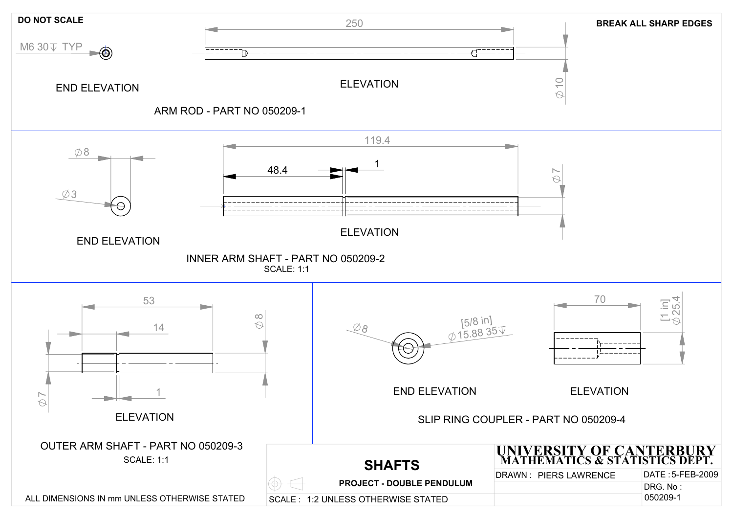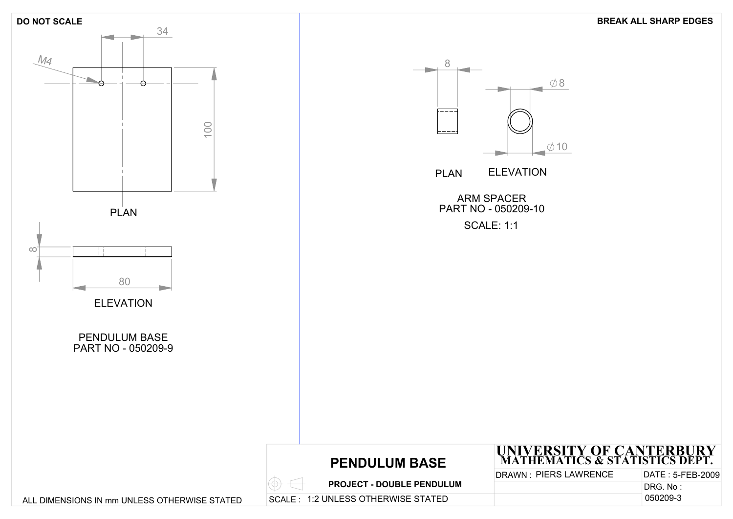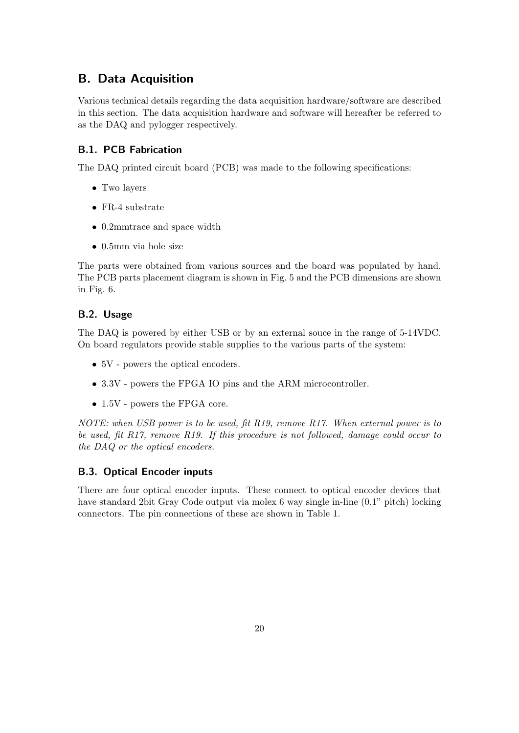# B. Data Acquisition

Various technical details regarding the data acquisition hardware/software are described in this section. The data acquisition hardware and software will hereafter be referred to as the DAQ and pylogger respectively.

# B.1. PCB Fabrication

The DAQ printed circuit board (PCB) was made to the following specifications:

- Two layers
- FR-4 substrate
- 0.2mmtrace and space width
- 0.5mm via hole size

The parts were obtained from various sources and the board was populated by hand. The PCB parts placement diagram is shown in Fig. 5 and the PCB dimensions are shown in Fig. 6.

# B.2. Usage

The DAQ is powered by either USB or by an external souce in the range of 5-14VDC. On board regulators provide stable supplies to the various parts of the system:

- 5V powers the optical encoders.
- 3.3V powers the FPGA IO pins and the ARM microcontroller.
- 1.5V powers the FPGA core.

NOTE: when USB power is to be used, fit R19, remove R17. When external power is to be used, fit R17, remove R19. If this procedure is not followed, damage could occur to the DAQ or the optical encoders.

# B.3. Optical Encoder inputs

There are four optical encoder inputs. These connect to optical encoder devices that have standard 2bit Gray Code output via molex 6 way single in-line (0.1" pitch) locking connectors. The pin connections of these are shown in Table 1.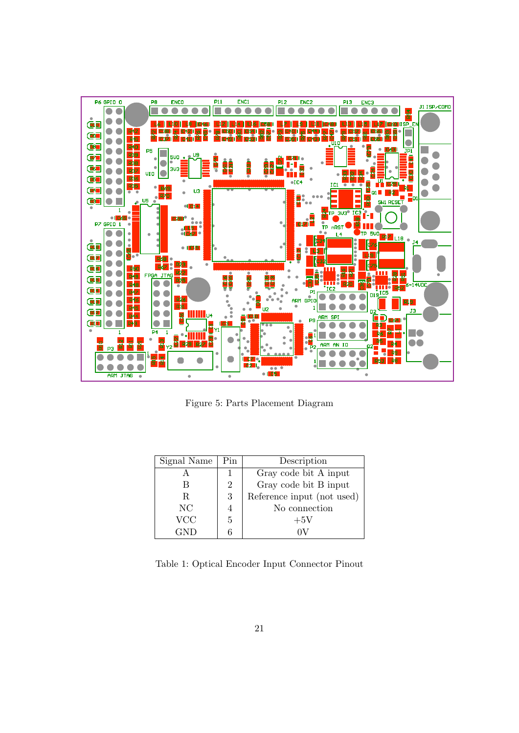

Figure 5: Parts Placement Diagram

| Signal Name | Pin                         | Description                |
|-------------|-----------------------------|----------------------------|
|             |                             | Gray code bit A input      |
|             | $\mathcal{D}_{\mathcal{L}}$ | Gray code bit B input      |
| R           | 3                           | Reference input (not used) |
| NC          |                             | No connection              |
| <b>VCC</b>  | 5                           | $+5V$                      |
| GND         |                             |                            |

Table 1: Optical Encoder Input Connector Pinout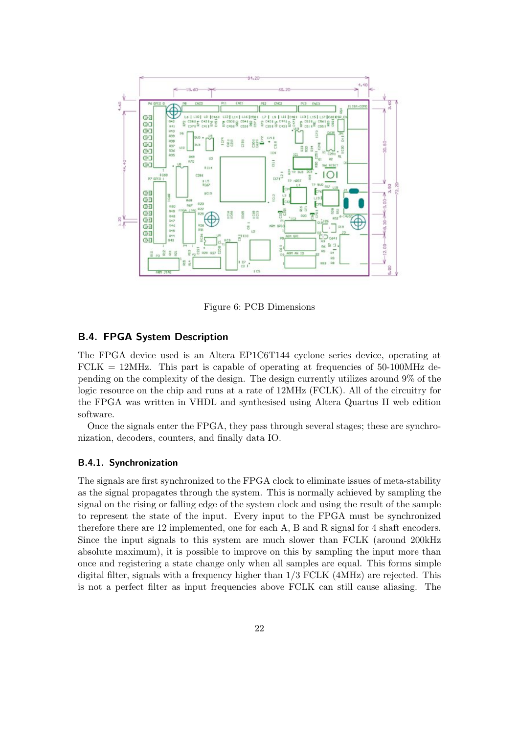

Figure 6: PCB Dimensions

#### B.4. FPGA System Description

The FPGA device used is an Altera EP1C6T144 cyclone series device, operating at  $FCLK = 12MHz$ . This part is capable of operating at frequencies of 50-100MHz depending on the complexity of the design. The design currently utilizes around 9% of the logic resource on the chip and runs at a rate of 12MHz (FCLK). All of the circuitry for the FPGA was written in VHDL and synthesised using Altera Quartus II web edition software.

Once the signals enter the FPGA, they pass through several stages; these are synchronization, decoders, counters, and finally data IO.

#### B.4.1. Synchronization

The signals are first synchronized to the FPGA clock to eliminate issues of meta-stability as the signal propagates through the system. This is normally achieved by sampling the signal on the rising or falling edge of the system clock and using the result of the sample to represent the state of the input. Every input to the FPGA must be synchronized therefore there are 12 implemented, one for each A, B and R signal for 4 shaft encoders. Since the input signals to this system are much slower than FCLK (around 200kHz absolute maximum), it is possible to improve on this by sampling the input more than once and registering a state change only when all samples are equal. This forms simple digital filter, signals with a frequency higher than 1/3 FCLK (4MHz) are rejected. This is not a perfect filter as input frequencies above FCLK can still cause aliasing. The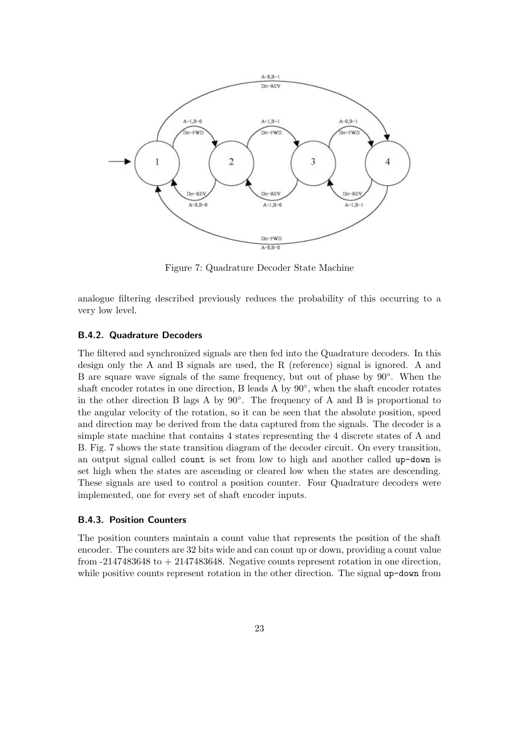

Figure 7: Quadrature Decoder State Machine

analogue filtering described previously reduces the probability of this occurring to a very low level.

#### B.4.2. Quadrature Decoders

The filtered and synchronized signals are then fed into the Quadrature decoders. In this design only the A and B signals are used, the R (reference) signal is ignored. A and B are square wave signals of the same frequency, but out of phase by 90◦. When the shaft encoder rotates in one direction, B leads A by  $90^\circ$ , when the shaft encoder rotates in the other direction B lags A by  $90^\circ$ . The frequency of A and B is proportional to the angular velocity of the rotation, so it can be seen that the absolute position, speed and direction may be derived from the data captured from the signals. The decoder is a simple state machine that contains 4 states representing the 4 discrete states of A and B. Fig. 7 shows the state transition diagram of the decoder circuit. On every transition, an output signal called count is set from low to high and another called up-down is set high when the states are ascending or cleared low when the states are descending. These signals are used to control a position counter. Four Quadrature decoders were implemented, one for every set of shaft encoder inputs.

#### B.4.3. Position Counters

The position counters maintain a count value that represents the position of the shaft encoder. The counters are 32 bits wide and can count up or down, providing a count value from  $-2147483648$  to  $+2147483648$ . Negative counts represent rotation in one direction, while positive counts represent rotation in the other direction. The signal up-down from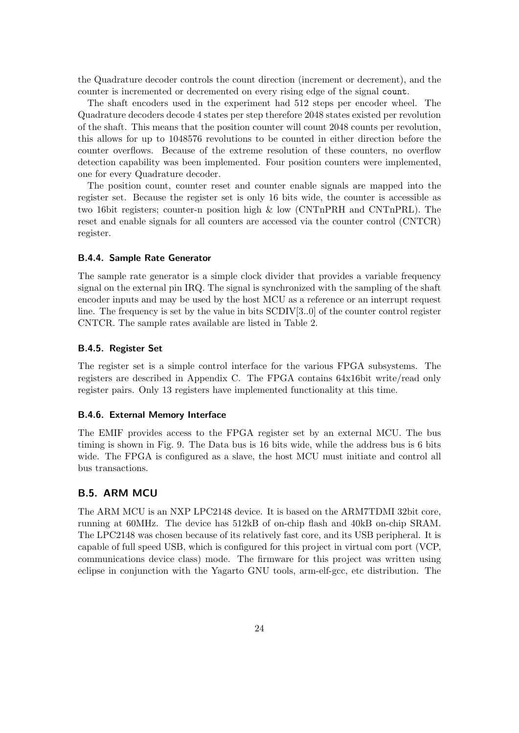the Quadrature decoder controls the count direction (increment or decrement), and the counter is incremented or decremented on every rising edge of the signal count.

The shaft encoders used in the experiment had 512 steps per encoder wheel. The Quadrature decoders decode 4 states per step therefore 2048 states existed per revolution of the shaft. This means that the position counter will count 2048 counts per revolution, this allows for up to 1048576 revolutions to be counted in either direction before the counter overflows. Because of the extreme resolution of these counters, no overflow detection capability was been implemented. Four position counters were implemented, one for every Quadrature decoder.

The position count, counter reset and counter enable signals are mapped into the register set. Because the register set is only 16 bits wide, the counter is accessible as two 16bit registers; counter-n position high & low (CNTnPRH and CNTnPRL). The reset and enable signals for all counters are accessed via the counter control (CNTCR) register.

#### B.4.4. Sample Rate Generator

The sample rate generator is a simple clock divider that provides a variable frequency signal on the external pin IRQ. The signal is synchronized with the sampling of the shaft encoder inputs and may be used by the host MCU as a reference or an interrupt request line. The frequency is set by the value in bits SCDIV[3..0] of the counter control register CNTCR. The sample rates available are listed in Table 2.

#### B.4.5. Register Set

The register set is a simple control interface for the various FPGA subsystems. The registers are described in Appendix C. The FPGA contains 64x16bit write/read only register pairs. Only 13 registers have implemented functionality at this time.

#### B.4.6. External Memory Interface

The EMIF provides access to the FPGA register set by an external MCU. The bus timing is shown in Fig. 9. The Data bus is 16 bits wide, while the address bus is 6 bits wide. The FPGA is configured as a slave, the host MCU must initiate and control all bus transactions.

#### B.5. ARM MCU

The ARM MCU is an NXP LPC2148 device. It is based on the ARM7TDMI 32bit core, running at 60MHz. The device has 512kB of on-chip flash and 40kB on-chip SRAM. The LPC2148 was chosen because of its relatively fast core, and its USB peripheral. It is capable of full speed USB, which is configured for this project in virtual com port (VCP, communications device class) mode. The firmware for this project was written using eclipse in conjunction with the Yagarto GNU tools, arm-elf-gcc, etc distribution. The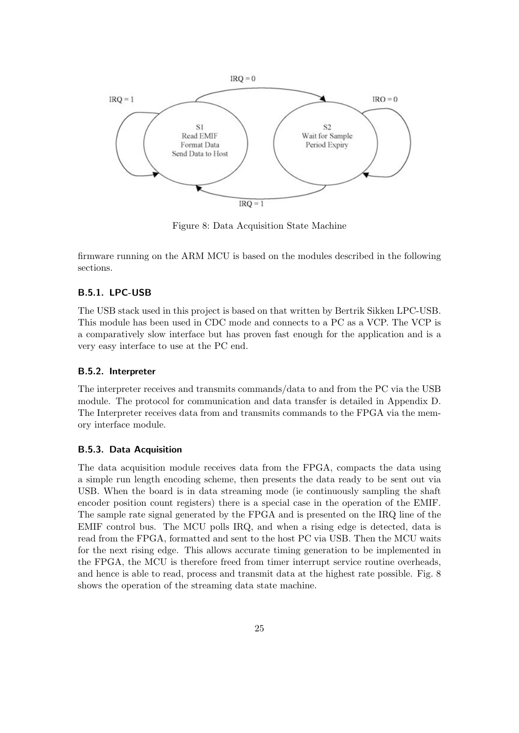

Figure 8: Data Acquisition State Machine

firmware running on the ARM MCU is based on the modules described in the following sections.

#### B.5.1. LPC-USB

The USB stack used in this project is based on that written by Bertrik Sikken LPC-USB. This module has been used in CDC mode and connects to a PC as a VCP. The VCP is a comparatively slow interface but has proven fast enough for the application and is a very easy interface to use at the PC end.

#### B.5.2. Interpreter

The interpreter receives and transmits commands/data to and from the PC via the USB module. The protocol for communication and data transfer is detailed in Appendix D. The Interpreter receives data from and transmits commands to the FPGA via the memory interface module.

#### B.5.3. Data Acquisition

The data acquisition module receives data from the FPGA, compacts the data using a simple run length encoding scheme, then presents the data ready to be sent out via USB. When the board is in data streaming mode (ie continuously sampling the shaft encoder position count registers) there is a special case in the operation of the EMIF. The sample rate signal generated by the FPGA and is presented on the IRQ line of the EMIF control bus. The MCU polls IRQ, and when a rising edge is detected, data is read from the FPGA, formatted and sent to the host PC via USB. Then the MCU waits for the next rising edge. This allows accurate timing generation to be implemented in the FPGA, the MCU is therefore freed from timer interrupt service routine overheads, and hence is able to read, process and transmit data at the highest rate possible. Fig. 8 shows the operation of the streaming data state machine.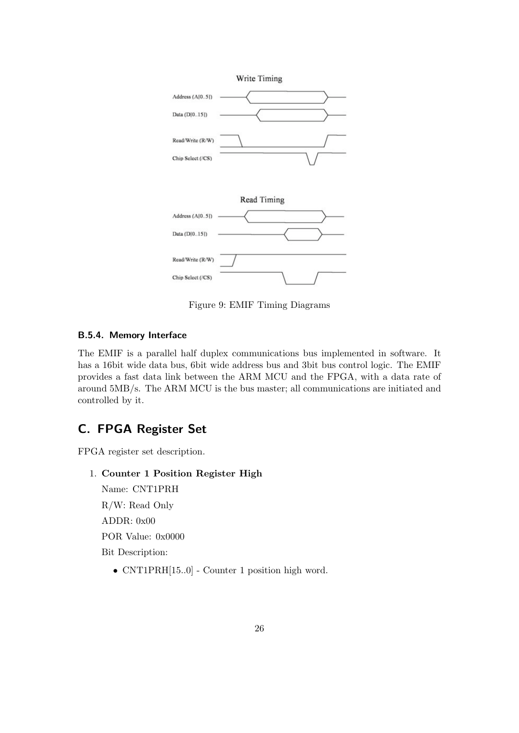

Figure 9: EMIF Timing Diagrams

# B.5.4. Memory Interface

The EMIF is a parallel half duplex communications bus implemented in software. It has a 16bit wide data bus, 6bit wide address bus and 3bit bus control logic. The EMIF provides a fast data link between the ARM MCU and the FPGA, with a data rate of around 5MB/s. The ARM MCU is the bus master; all communications are initiated and controlled by it.

# C. FPGA Register Set

FPGA register set description.

# 1. Counter 1 Position Register High

Name: CNT1PRH R/W: Read Only ADDR: 0x00 POR Value: 0x0000 Bit Description:

• CNT1PRH[15..0] - Counter 1 position high word.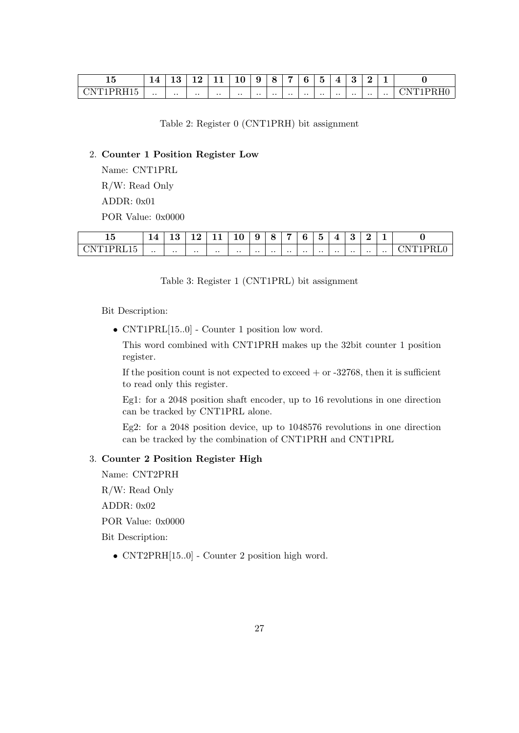| - ⊷<br>⊥∪                                                               | $\overline{\phantom{a}}$<br>- | $\Omega$<br>⊥ບ  | റ<br>╭<br>--    | -<br>--      | ∸         | ч            |           |           | ◠         | -<br>h<br>. . |              | ⌒               | ∽               |                 |                        |
|-------------------------------------------------------------------------|-------------------------------|-----------------|-----------------|--------------|-----------|--------------|-----------|-----------|-----------|---------------|--------------|-----------------|-----------------|-----------------|------------------------|
| $\sim$ $\sim$ $\sim$<br>. <del>. .</del><br>$\mathbf{v}$<br>.<br>-<br>. | $\cdot$ .                     | $\cdot$ $\cdot$ | $\cdot$ $\cdot$ | $\cdot\cdot$ | $\cdot$ . | $\cdot\cdot$ | $\cdot$ . | $\cdot$ . | $\cdot$ . | $\cdot$ .     | $\cdot\cdot$ | $\cdot$ $\cdot$ | $\cdot$ $\cdot$ | $\cdot$ $\cdot$ | $\sim$<br>$\mathbf{v}$ |

Table 2: Register 0 (CNT1PRH) bit assignment

#### 2. Counter 1 Position Register Low

Name: CNT1PRL R/W: Read Only ADDR: 0x01 POR Value: 0x0000

| - -<br>∽<br>TΩ                                            | $\overline{4}$ |              | $\sim$       | -- --        | $\sqrt{2}$<br>πU | ч<br>ື    |              | -         | 6            | $\tilde{\phantom{a}}$<br>∽<br>್ರ | -         | $\epsilon$<br>ഄ |           |     |        |
|-----------------------------------------------------------|----------------|--------------|--------------|--------------|------------------|-----------|--------------|-----------|--------------|----------------------------------|-----------|-----------------|-----------|-----|--------|
| $\sim$ $\sim$ $\sim$<br>--<br>N<br>◡<br>ن 1 س<br><u>.</u> | $\cdot$ .      | $\cdot\cdot$ | $\cdot\cdot$ | $\cdot\cdot$ | $\cdot$ .        | $\cdot$ . | $\cdot\cdot$ | $\cdot$ . | $\cdot\cdot$ | $\cdot$ .                        | $\cdot$ . | $\cdot$ .       | $\cdot$ . | . . | $\sim$ |

Table 3: Register 1 (CNT1PRL) bit assignment

Bit Description:

• CNT1PRL[15..0] - Counter 1 position low word.

This word combined with CNT1PRH makes up the 32bit counter 1 position register.

If the position count is not expected to exceed  $+$  or  $-32768$ , then it is sufficient to read only this register.

Eg1: for a 2048 position shaft encoder, up to 16 revolutions in one direction can be tracked by CNT1PRL alone.

Eg2: for a 2048 position device, up to 1048576 revolutions in one direction can be tracked by the combination of CNT1PRH and CNT1PRL

#### 3. Counter 2 Position Register High

Name: CNT2PRH

R/W: Read Only

ADDR: 0x02

POR Value: 0x0000

Bit Description:

• CNT2PRH[15..0] - Counter 2 position high word.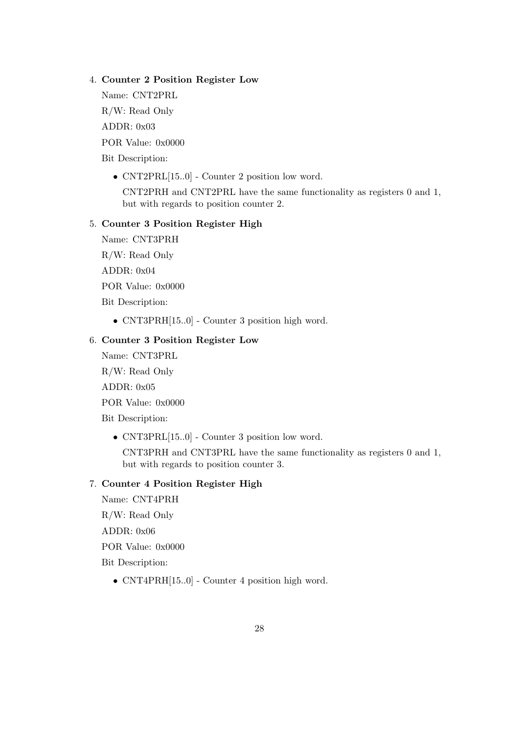#### 4. Counter 2 Position Register Low

Name: CNT2PRL R/W: Read Only

ADDR: 0x03

POR Value: 0x0000

Bit Description:

• CNT2PRL[15..0] - Counter 2 position low word.

CNT2PRH and CNT2PRL have the same functionality as registers 0 and 1, but with regards to position counter 2.

#### 5. Counter 3 Position Register High

Name: CNT3PRH

R/W: Read Only

ADDR: 0x04

POR Value: 0x0000

Bit Description:

• CNT3PRH[15..0] - Counter 3 position high word.

# 6. Counter 3 Position Register Low

Name: CNT3PRL

R/W: Read Only

ADDR: 0x05

POR Value: 0x0000

Bit Description:

• CNT3PRL[15..0] - Counter 3 position low word.

CNT3PRH and CNT3PRL have the same functionality as registers 0 and 1, but with regards to position counter 3.

#### 7. Counter 4 Position Register High

Name: CNT4PRH R/W: Read Only

ADDR: 0x06

POR Value: 0x0000

Bit Description:

• CNT4PRH[15..0] - Counter 4 position high word.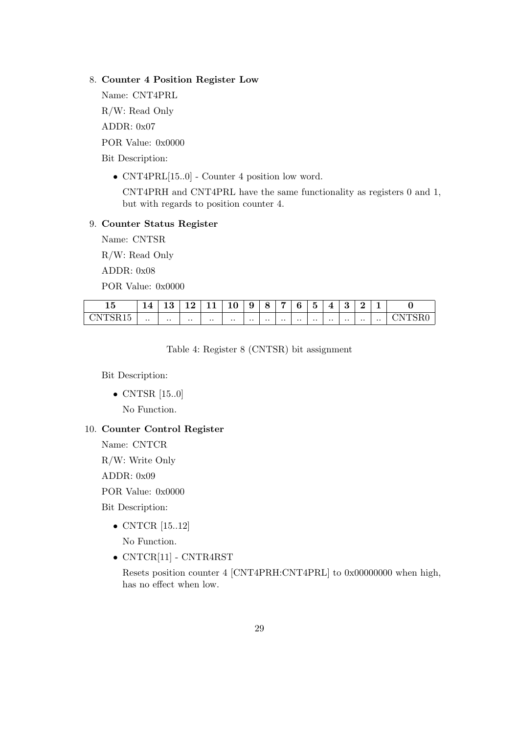#### 8. Counter 4 Position Register Low

Name: CNT4PRL R/W: Read Only ADDR: 0x07 POR Value: 0x0000

Bit Description:

• CNT4PRL[15..0] - Counter 4 position low word.

CNT4PRH and CNT4PRL have the same functionality as registers 0 and 1, but with regards to position counter 4.

#### 9. Counter Status Register

Name: CNTSR

R/W: Read Only

ADDR: 0x08

POR Value: 0x0000

| - -<br>TĄ                         | -         | $\epsilon$ | $\epsilon$<br>-- | ---       | - -<br>≖  | о<br>Ū          | -<br>◡    |                 |           | -<br>∽<br>ປ | Æ         | υ            | ີ            | -               |   |
|-----------------------------------|-----------|------------|------------------|-----------|-----------|-----------------|-----------|-----------------|-----------|-------------|-----------|--------------|--------------|-----------------|---|
| ~-<br>-<br>◡<br>$\tilde{}$<br>. . | $\cdot$ . | $\cdot$ .  | $\cdot$ $\cdot$  | $\cdot$ . | $\cdot$ . | $\cdot$ $\cdot$ | $\cdot$ . | $\cdot$ $\cdot$ | $\cdot$ . | $\cdot$ .   | $\cdot$ . | $\cdot\cdot$ | $\cdot\cdot$ | $\cdot$ $\cdot$ | ∼ |

Table 4: Register 8 (CNTSR) bit assignment

Bit Description:

• CNTSR [15..0]

No Function.

# 10. Counter Control Register

Name: CNTCR R/W: Write Only

ADDR: 0x09

POR Value: 0x0000

Bit Description:

- CNTCR [15..12] No Function.
- CNTCR[11] CNTR4RST

Resets position counter 4 [CNT4PRH:CNT4PRL] to 0x00000000 when high, has no effect when low.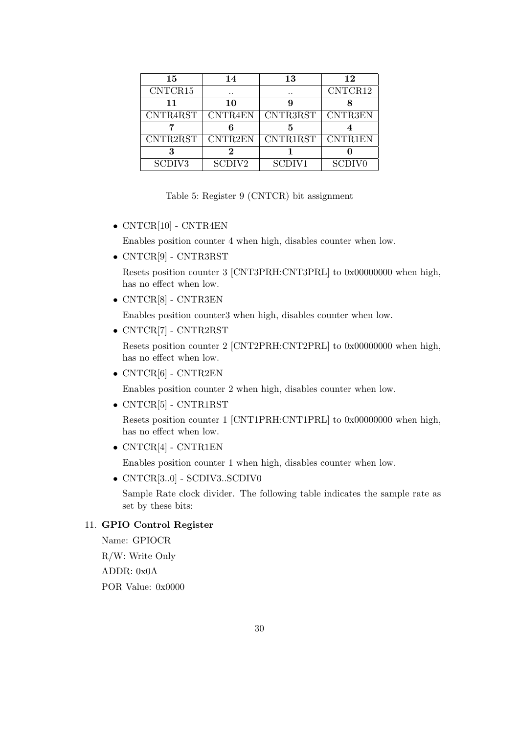| 15                 | 14                 | 13                 | 12                       |
|--------------------|--------------------|--------------------|--------------------------|
| CNTCR15            | $\cdot$ $\cdot$    |                    | CNTCR12                  |
| 11                 | 10                 |                    |                          |
| CNTR4RST           | <b>CNTR4EN</b>     | CNTR3RST           | <b>CNTR3EN</b>           |
|                    |                    |                    |                          |
| CNTR2RST           | <b>CNTR2EN</b>     | CNTR1RST           | CNTR1EN                  |
|                    |                    |                    |                          |
| SCDIV <sub>3</sub> | SCDIV <sub>2</sub> | SCDIV <sub>1</sub> | <b>SCDIV<sub>0</sub></b> |

Table 5: Register 9 (CNTCR) bit assignment

• CNTCR[10] - CNTR4EN

Enables position counter 4 when high, disables counter when low.

• CNTCR[9] - CNTR3RST

Resets position counter 3 [CNT3PRH:CNT3PRL] to 0x00000000 when high, has no effect when low.

• CNTCR[8] - CNTR3EN

Enables position counter3 when high, disables counter when low.

• CNTCR[7] - CNTR2RST

Resets position counter 2 [CNT2PRH:CNT2PRL] to 0x00000000 when high, has no effect when low.

• CNTCR[6] - CNTR2EN

Enables position counter 2 when high, disables counter when low.

• CNTCR[5] - CNTR1RST

Resets position counter 1 [CNT1PRH:CNT1PRL] to 0x00000000 when high, has no effect when low.

• CNTCR[4] - CNTR1EN

Enables position counter 1 when high, disables counter when low.

• CNTCR[3..0] - SCDIV3..SCDIV0

Sample Rate clock divider. The following table indicates the sample rate as set by these bits:

#### 11. GPIO Control Register

Name: GPIOCR R/W: Write Only ADDR: 0x0A POR Value: 0x0000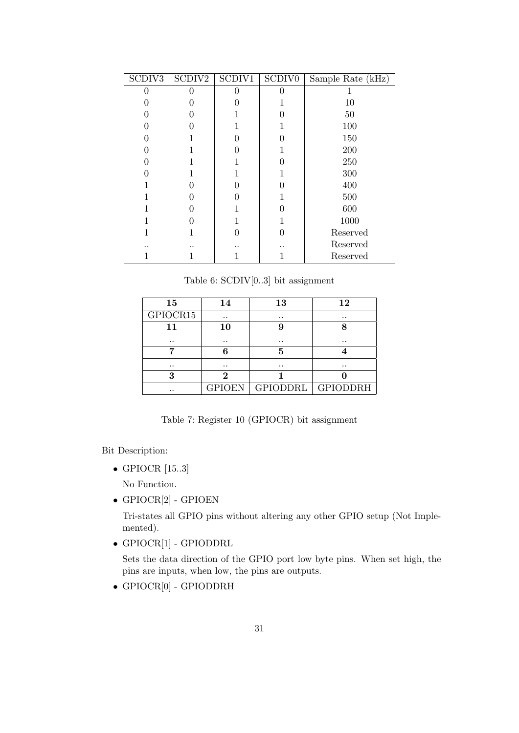| SCDIV <sub>3</sub> | SCDIV2 | SCDIV1 | SCDIV <sub>0</sub> | Sample Rate (kHz) |
|--------------------|--------|--------|--------------------|-------------------|
| 0                  |        |        | 0                  |                   |
|                    |        |        |                    | 10                |
|                    |        |        |                    | 50                |
| $\mathbf{0}$       |        |        |                    | 100               |
|                    |        |        |                    | 150               |
| $\mathbf{\Omega}$  |        |        |                    | 200               |
|                    |        |        |                    | 250               |
|                    |        |        |                    | 300               |
|                    |        |        | 0                  | 400               |
|                    |        |        |                    | 500               |
|                    |        |        | 0                  | 600               |
|                    |        |        |                    | 1000              |
|                    |        |        |                    | Reserved          |
|                    |        |        |                    | Reserved          |
|                    |        |        |                    | Reserved          |

Table 6: SCDIV[0..3] bit assignment

| 15        | 14            | 13              | 12              |
|-----------|---------------|-----------------|-----------------|
| GPIOCR15  | $\cdot \cdot$ | $\cdot$ .       | $\cdot \cdot$   |
| 11        | 10            |                 |                 |
| $\cdot$ . | $\cdot$ .     | $\cdot$ $\cdot$ | $\cdot$ $\cdot$ |
|           |               | 5               |                 |
| $\cdot$ . | . .           | $\cdot$ $\cdot$ | $\cdot$ $\cdot$ |
| 3         | 2             |                 |                 |
|           | <b>GPIOEN</b> | GPIODDRL        | <b>GPIODDRH</b> |

Table 7: Register 10 (GPIOCR) bit assignment

Bit Description:

• GPIOCR [15..3]

No Function.

• GPIOCR[2] - GPIOEN

Tri-states all GPIO pins without altering any other GPIO setup (Not Implemented).

• GPIOCR[1] - GPIODDRL

Sets the data direction of the GPIO port low byte pins. When set high, the pins are inputs, when low, the pins are outputs.

• GPIOCR[0] - GPIODDRH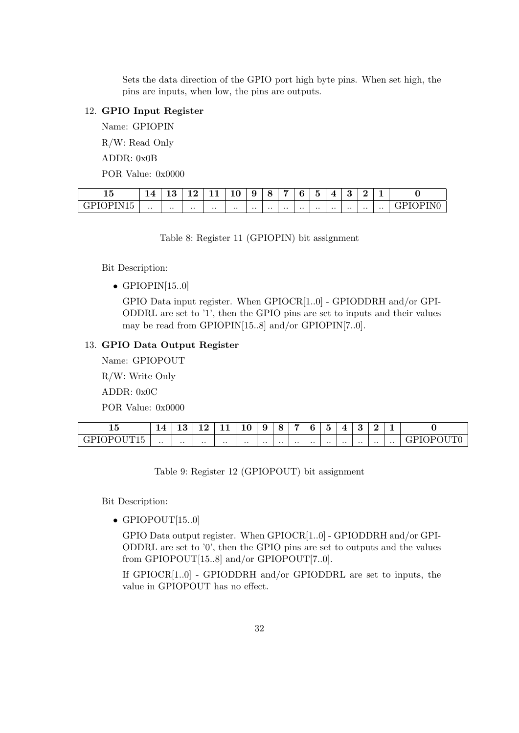Sets the data direction of the GPIO port high byte pins. When set high, the pins are inputs, when low, the pins are outputs.

### 12. GPIO Input Register

Name: GPIOPIN R/W: Read Only

ADDR: 0x0B

POR Value: 0x0000

| $\rightarrow$<br>ь<br>ᆚᅁ                           | 14<br>14     | $\cdot$ $\cdot$<br>പ | $\sim$          | -- -         | $\sim$<br>≖  | u<br>Ū          |           |              | h         | $\tilde{\phantom{a}}$<br>ь<br>ഄ | -               |              | $\Omega$     | -               |               |
|----------------------------------------------------|--------------|----------------------|-----------------|--------------|--------------|-----------------|-----------|--------------|-----------|---------------------------------|-----------------|--------------|--------------|-----------------|---------------|
| . <del>.</del><br>١Ρ<br>$\overline{ }$<br>--<br>-- | $\cdot\cdot$ | $\cdot\cdot$         | $\cdot$ $\cdot$ | $\cdot\cdot$ | $\cdot\cdot$ | $\cdot$ $\cdot$ | $\cdot$ . | $\cdot\cdot$ | $\cdot$ . | $\cdot$ $\cdot$                 | $\cdot$ $\cdot$ | $\cdot\cdot$ | $\cdot\cdot$ | $\cdot$ $\cdot$ | שנ<br>. – P 1 |

Table 8: Register 11 (GPIOPIN) bit assignment

Bit Description:

• GPIOPIN $[15..0]$ 

GPIO Data input register. When GPIOCR[1..0] - GPIODDRH and/or GPI-ODDRL are set to '1', then the GPIO pins are set to inputs and their values may be read from GPIOPIN[15..8] and/or GPIOPIN[7..0].

#### 13. GPIO Data Output Register

Name: GPIOPOUT

R/W: Write Only

ADDR: 0x0C

POR Value: 0x0000

| $\sim$<br>ᅩᅁ                                                                      | 14.          | $\epsilon$<br>⊥ບ | $\sim$<br>-- | - -<br>--- | 10              | ∽<br>u<br>◡ | O<br>∼<br>ີ  | ъ.        | ◠<br>o    | $\tilde{\phantom{a}}$<br>đ | z            | υ               | $\sim$    |           |                                                    |
|-----------------------------------------------------------------------------------|--------------|------------------|--------------|------------|-----------------|-------------|--------------|-----------|-----------|----------------------------|--------------|-----------------|-----------|-----------|----------------------------------------------------|
| 5.777722<br>$- - - -$<br>. P'<br>∘ ∟ ப<br>. .<br>◡<br>$\sim$<br>--<br>$\check{~}$ | $\cdot\cdot$ | $\cdot$ .        | $\cdot$ .    | $\cdot$ .  | $\cdot$ $\cdot$ | $\cdot$ .   | $\cdot\cdot$ | $\cdot$ . | $\cdot$ . | $\cdot\cdot$               | $\cdot\cdot$ | $\cdot$ $\cdot$ | $\cdot$ . | $\cdot$ . | - 211<br>╺<br>ᆂᅗ<br>◡<br>---<br>◡<br>-<br>∼<br>. . |

Table 9: Register 12 (GPIOPOUT) bit assignment

Bit Description:

 $\bullet$  GPIOPOUT[15..0]

GPIO Data output register. When GPIOCR[1..0] - GPIODDRH and/or GPI-ODDRL are set to '0', then the GPIO pins are set to outputs and the values from GPIOPOUT[15..8] and/or GPIOPOUT[7..0].

If GPIOCR[1..0] - GPIODDRH and/or GPIODDRL are set to inputs, the value in GPIOPOUT has no effect.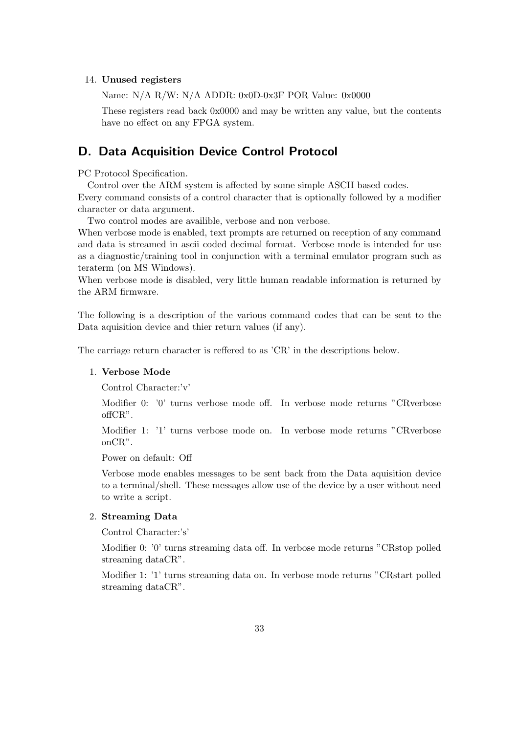#### 14. Unused registers

Name: N/A R/W: N/A ADDR: 0x0D-0x3F POR Value: 0x0000

These registers read back 0x0000 and may be written any value, but the contents have no effect on any FPGA system.

# D. Data Acquisition Device Control Protocol

PC Protocol Specification.

Control over the ARM system is affected by some simple ASCII based codes. Every command consists of a control character that is optionally followed by a modifier character or data argument.

Two control modes are availible, verbose and non verbose.

When verbose mode is enabled, text prompts are returned on reception of any command and data is streamed in ascii coded decimal format. Verbose mode is intended for use as a diagnostic/training tool in conjunction with a terminal emulator program such as teraterm (on MS Windows).

When verbose mode is disabled, very little human readable information is returned by the ARM firmware.

The following is a description of the various command codes that can be sent to the Data aquisition device and thier return values (if any).

The carriage return character is reffered to as 'CR' in the descriptions below.

#### 1. Verbose Mode

Control Character:'v'

Modifier 0: '0' turns verbose mode off. In verbose mode returns "CRverbose offCR".

Modifier 1: '1' turns verbose mode on. In verbose mode returns "CRverbose onCR".

Power on default: Off

Verbose mode enables messages to be sent back from the Data aquisition device to a terminal/shell. These messages allow use of the device by a user without need to write a script.

#### 2. Streaming Data

Control Character:'s'

Modifier 0: '0' turns streaming data off. In verbose mode returns "CRstop polled streaming dataCR".

Modifier 1: '1' turns streaming data on. In verbose mode returns "CRstart polled streaming dataCR".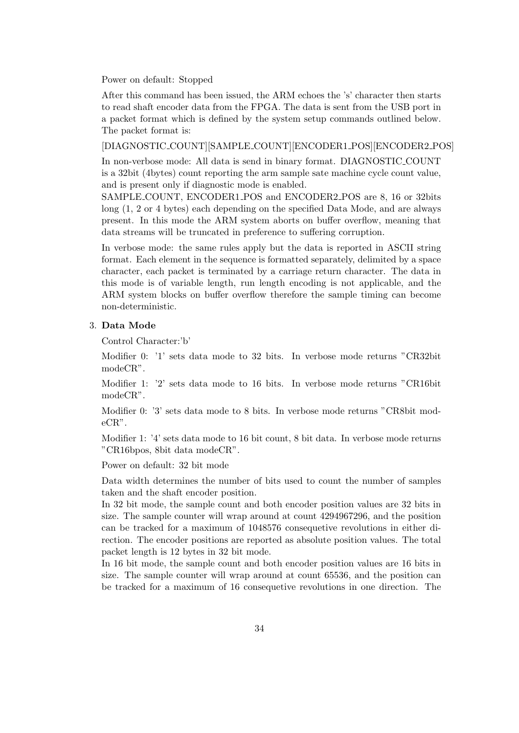Power on default: Stopped

After this command has been issued, the ARM echoes the 's' character then starts to read shaft encoder data from the FPGA. The data is sent from the USB port in a packet format which is defined by the system setup commands outlined below. The packet format is:

[DIAGNOSTIC COUNT][SAMPLE COUNT][ENCODER1 POS][ENCODER2 POS]

In non-verbose mode: All data is send in binary format. DIAGNOSTIC COUNT is a 32bit (4bytes) count reporting the arm sample sate machine cycle count value, and is present only if diagnostic mode is enabled.

SAMPLE COUNT, ENCODER1 POS and ENCODER2 POS are 8, 16 or 32bits long (1, 2 or 4 bytes) each depending on the specified Data Mode, and are always present. In this mode the ARM system aborts on buffer overflow, meaning that data streams will be truncated in preference to suffering corruption.

In verbose mode: the same rules apply but the data is reported in ASCII string format. Each element in the sequence is formatted separately, delimited by a space character, each packet is terminated by a carriage return character. The data in this mode is of variable length, run length encoding is not applicable, and the ARM system blocks on buffer overflow therefore the sample timing can become non-deterministic.

#### 3. Data Mode

Control Character:'b'

Modifier 0: '1' sets data mode to 32 bits. In verbose mode returns "CR32bit modeCR".

Modifier 1: '2' sets data mode to 16 bits. In verbose mode returns "CR16bit modeCR".

Modifier 0: '3' sets data mode to 8 bits. In verbose mode returns "CR8bit modeCR".

Modifier 1: '4' sets data mode to 16 bit count, 8 bit data. In verbose mode returns "CR16bpos, 8bit data modeCR".

Power on default: 32 bit mode

Data width determines the number of bits used to count the number of samples taken and the shaft encoder position.

In 32 bit mode, the sample count and both encoder position values are 32 bits in size. The sample counter will wrap around at count 4294967296, and the position can be tracked for a maximum of 1048576 consequetive revolutions in either direction. The encoder positions are reported as absolute position values. The total packet length is 12 bytes in 32 bit mode.

In 16 bit mode, the sample count and both encoder position values are 16 bits in size. The sample counter will wrap around at count 65536, and the position can be tracked for a maximum of 16 consequetive revolutions in one direction. The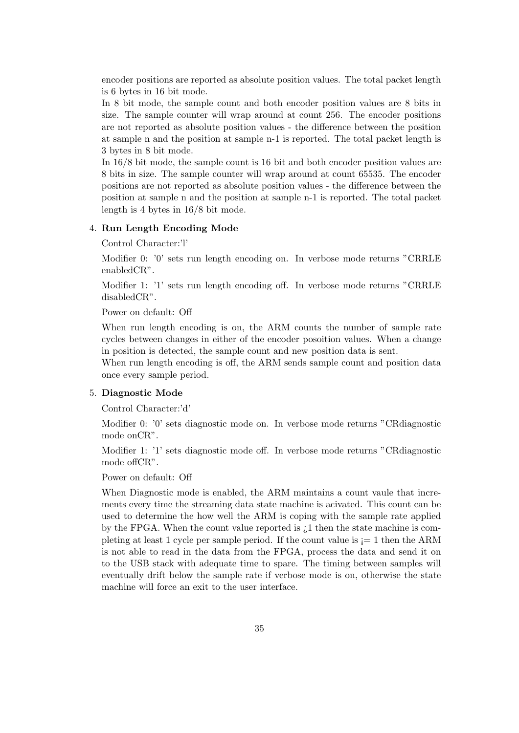encoder positions are reported as absolute position values. The total packet length is 6 bytes in 16 bit mode.

In 8 bit mode, the sample count and both encoder position values are 8 bits in size. The sample counter will wrap around at count 256. The encoder positions are not reported as absolute position values - the difference between the position at sample n and the position at sample n-1 is reported. The total packet length is 3 bytes in 8 bit mode.

In 16/8 bit mode, the sample count is 16 bit and both encoder position values are 8 bits in size. The sample counter will wrap around at count 65535. The encoder positions are not reported as absolute position values - the difference between the position at sample n and the position at sample n-1 is reported. The total packet length is 4 bytes in 16/8 bit mode.

#### 4. Run Length Encoding Mode

Control Character:'l'

Modifier 0: '0' sets run length encoding on. In verbose mode returns "CRRLE enabledCR".

Modifier 1: '1' sets run length encoding off. In verbose mode returns "CRRLE disabledCR".

Power on default: Off

When run length encoding is on, the ARM counts the number of sample rate cycles between changes in either of the encoder posoition values. When a change in position is detected, the sample count and new position data is sent.

When run length encoding is off, the ARM sends sample count and position data once every sample period.

#### 5. Diagnostic Mode

Control Character:'d'

Modifier 0: '0' sets diagnostic mode on. In verbose mode returns "CRdiagnostic mode onCR".

Modifier 1: '1' sets diagnostic mode off. In verbose mode returns "CRdiagnostic mode offCR".

Power on default: Off

When Diagnostic mode is enabled, the ARM maintains a count vaule that increments every time the streaming data state machine is acivated. This count can be used to determine the how well the ARM is coping with the sample rate applied by the FPGA. When the count value reported is  $\lambda$ 1 then the state machine is completing at least 1 cycle per sample period. If the count value is  $= 1$  then the ARM is not able to read in the data from the FPGA, process the data and send it on to the USB stack with adequate time to spare. The timing between samples will eventually drift below the sample rate if verbose mode is on, otherwise the state machine will force an exit to the user interface.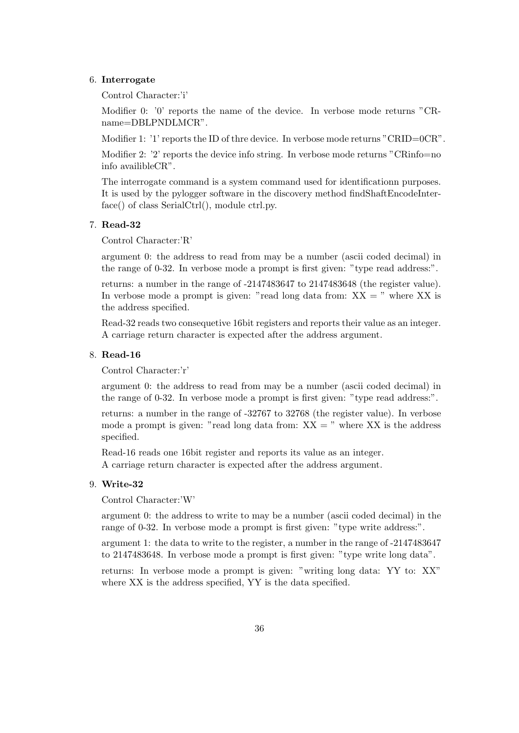#### 6. Interrogate

Control Character:'i'

Modifier 0: '0' reports the name of the device. In verbose mode returns "CRname=DBLPNDLMCR".

Modifier 1: '1' reports the ID of thre device. In verbose mode returns "CRID=0CR".

Modifier 2: '2' reports the device info string. In verbose mode returns "CRinfo=no" info availibleCR".

The interrogate command is a system command used for identificationn purposes. It is used by the pylogger software in the discovery method findShaftEncodeInterface() of class SerialCtrl(), module ctrl.py.

#### 7. Read-32

Control Character:'R'

argument 0: the address to read from may be a number (ascii coded decimal) in the range of 0-32. In verbose mode a prompt is first given: "type read address:".

returns: a number in the range of -2147483647 to 2147483648 (the register value). In verbose mode a prompt is given: "read long data from:  $XX =$ " where  $XX$  is the address specified.

Read-32 reads two consequetive 16bit registers and reports their value as an integer. A carriage return character is expected after the address argument.

#### 8. Read-16

Control Character:'r'

argument 0: the address to read from may be a number (ascii coded decimal) in the range of 0-32. In verbose mode a prompt is first given: "type read address:".

returns: a number in the range of -32767 to 32768 (the register value). In verbose mode a prompt is given: "read long data from:  $XX =$ " where  $XX$  is the address specified.

Read-16 reads one 16bit register and reports its value as an integer. A carriage return character is expected after the address argument.

#### 9. Write-32

Control Character:'W'

argument 0: the address to write to may be a number (ascii coded decimal) in the range of 0-32. In verbose mode a prompt is first given: "type write address:".

argument 1: the data to write to the register, a number in the range of -2147483647 to 2147483648. In verbose mode a prompt is first given: "type write long data".

returns: In verbose mode a prompt is given: "writing long data: YY to: XX" where XX is the address specified, YY is the data specified.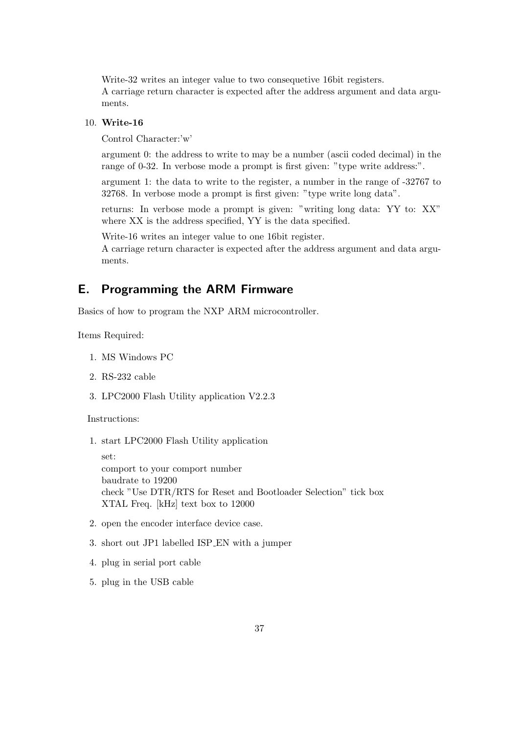Write-32 writes an integer value to two consequetive 16bit registers. A carriage return character is expected after the address argument and data arguments.

#### 10. Write-16

Control Character:'w'

argument 0: the address to write to may be a number (ascii coded decimal) in the range of 0-32. In verbose mode a prompt is first given: "type write address:".

argument 1: the data to write to the register, a number in the range of -32767 to 32768. In verbose mode a prompt is first given: "type write long data".

returns: In verbose mode a prompt is given: "writing long data: YY to: XX" where XX is the address specified, YY is the data specified.

Write-16 writes an integer value to one 16bit register.

A carriage return character is expected after the address argument and data arguments.

# E. Programming the ARM Firmware

Basics of how to program the NXP ARM microcontroller.

Items Required:

- 1. MS Windows PC
- 2. RS-232 cable
- 3. LPC2000 Flash Utility application V2.2.3

Instructions:

1. start LPC2000 Flash Utility application

set: comport to your comport number baudrate to 19200 check "Use DTR/RTS for Reset and Bootloader Selection" tick box XTAL Freq. [kHz] text box to 12000

- 2. open the encoder interface device case.
- 3. short out JP1 labelled ISP EN with a jumper
- 4. plug in serial port cable
- 5. plug in the USB cable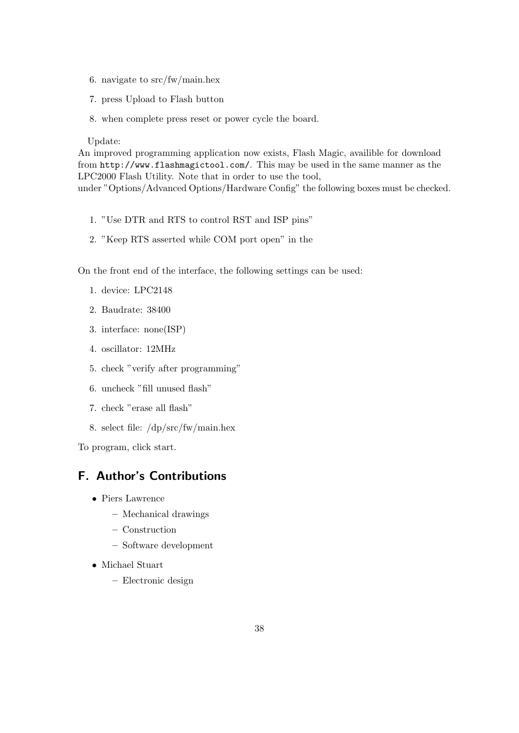- 6. navigate to src/fw/main.hex
- 7. press Upload to Flash button
- 8. when complete press reset or power cycle the board.

#### Update:

An improved programming application now exists, Flash Magic, availible for download from http://www.flashmagictool.com/. This may be used in the same manner as the LPC2000 Flash Utility. Note that in order to use the tool, under "Options/Advanced Options/Hardware Config" the following boxes must be checked.

- 1. "Use DTR and RTS to control RST and ISP pins"
- 2. "Keep RTS asserted while COM port open" in the

On the front end of the interface, the following settings can be used:

- 1. device: LPC2148
- 2. Baudrate: 38400
- 3. interface: none(ISP)
- 4. oscillator: 12MHz
- 5. check "verify after programming"
- 6. uncheck "fill unused flash"
- 7. check "erase all flash"
- 8. select file: /dp/src/fw/main.hex

To program, click start.

# F. Author's Contributions

- Piers Lawrence
	- Mechanical drawings
	- Construction
	- Software development
- Michael Stuart
	- Electronic design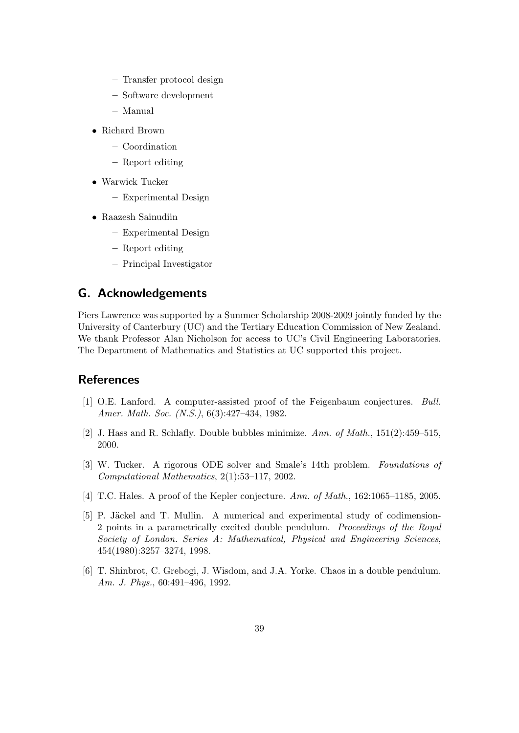- Transfer protocol design
- Software development
- Manual
- Richard Brown
	- Coordination
	- Report editing
- Warwick Tucker
	- Experimental Design
- Raazesh Sainudiin
	- Experimental Design
	- Report editing
	- Principal Investigator

# G. Acknowledgements

Piers Lawrence was supported by a Summer Scholarship 2008-2009 jointly funded by the University of Canterbury (UC) and the Tertiary Education Commission of New Zealand. We thank Professor Alan Nicholson for access to UC's Civil Engineering Laboratories. The Department of Mathematics and Statistics at UC supported this project.

# **References**

- [1] O.E. Lanford. A computer-assisted proof of the Feigenbaum conjectures. Bull. Amer. Math. Soc. (N.S.), 6(3):427–434, 1982.
- [2] J. Hass and R. Schlafly. Double bubbles minimize. Ann. of Math., 151(2):459–515, 2000.
- [3] W. Tucker. A rigorous ODE solver and Smale's 14th problem. Foundations of Computational Mathematics, 2(1):53–117, 2002.
- [4] T.C. Hales. A proof of the Kepler conjecture. Ann. of Math., 162:1065–1185, 2005.
- [5] P. Jäckel and T. Mullin. A numerical and experimental study of codimension-2 points in a parametrically excited double pendulum. Proceedings of the Royal Society of London. Series A: Mathematical, Physical and Engineering Sciences, 454(1980):3257–3274, 1998.
- [6] T. Shinbrot, C. Grebogi, J. Wisdom, and J.A. Yorke. Chaos in a double pendulum. Am. J. Phys., 60:491–496, 1992.